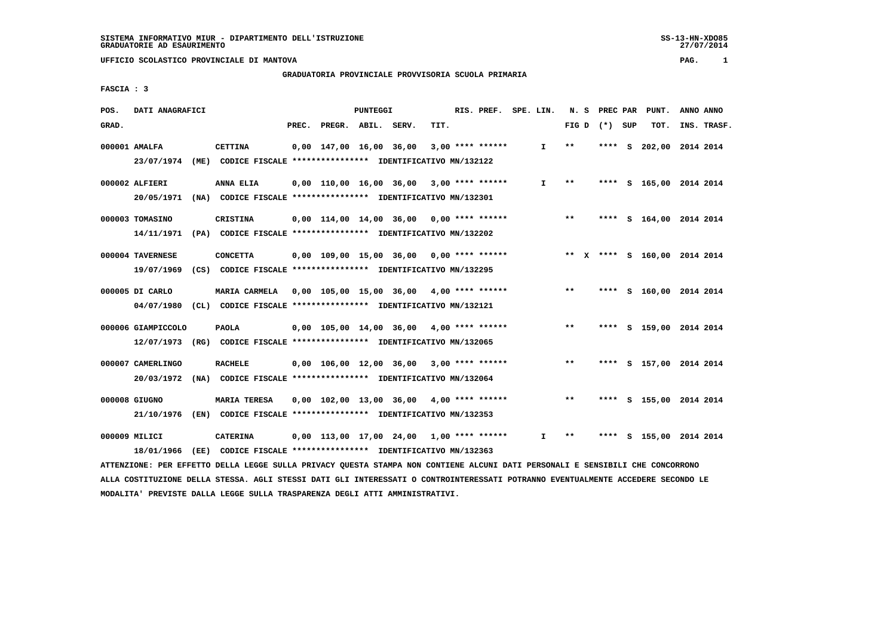# **GRADUATORIA PROVINCIALE PROVVISORIA SCUOLA PRIMARIA**

 **FASCIA : 3**

| TIT.<br>GRAD.<br>PREC.<br>PREGR. ABIL. SERV.<br>FIG $D$ $(*)$ SUP<br>TOT.                                                        | INS. TRASF. |
|----------------------------------------------------------------------------------------------------------------------------------|-------------|
|                                                                                                                                  |             |
| 0,00 147,00 16,00 36,00<br>$* *$<br>202,00 2014 2014<br>000001 AMALFA<br><b>CETTINA</b><br>$3,00$ **** ******<br>I.<br>s<br>**** |             |
| 23/07/1974<br>(ME)<br>CODICE FISCALE **************** IDENTIFICATIVO MN/132122                                                   |             |
| $0,00$ 110,00 16,00 36,00 3,00 **** ******<br>$* *$<br>000002 ALFIERI<br>ANNA ELIA<br>$\mathbf{I}$<br>**** S 165,00 2014 2014    |             |
| 20/05/1971<br>(NA) CODICE FISCALE **************** IDENTIFICATIVO MN/132301                                                      |             |
| $***$<br>000003 TOMASINO<br><b>CRISTINA</b><br>$0,00$ 114,00 14,00 36,00 0,00 **** ******<br>**** S 164,00 2014 2014             |             |
| 14/11/1971 (PA) CODICE FISCALE *************** IDENTIFICATIVO MN/132202                                                          |             |
| $0.00$ 109.00 15.00 36.00 0.00 **** ******<br>** X **** S 160,00 2014 2014<br>000004 TAVERNESE<br><b>CONCETTA</b>                |             |
| 19/07/1969<br>(CS) CODICE FISCALE *************** IDENTIFICATIVO MN/132295                                                       |             |
| 0,00 105,00 15,00 36,00 4,00 **** ******<br>$***$<br>000005 DI CARLO<br>MARIA CARMELA<br>**** S 160,00 2014 2014                 |             |
| (CL) CODICE FISCALE **************** IDENTIFICATIVO MN/132121<br>04/07/1980                                                      |             |
| $***$<br>000006 GIAMPICCOLO<br><b>PAOLA</b><br>$0,00$ 105,00 14,00 36,00 4,00 **** ******<br>**** S 159,00 2014 2014             |             |
| 12/07/1973<br>(RG) CODICE FISCALE **************** IDENTIFICATIVO MN/132065                                                      |             |
| $***$<br>$0.00$ 106.00 12.00 36.00 3.00 **** ******<br>**** S 157,00 2014 2014<br>000007 CAMERLINGO<br><b>RACHELE</b>            |             |
| 20/03/1972<br>(NA) CODICE FISCALE **************** IDENTIFICATIVO MN/132064                                                      |             |
| 000008 GIUGNO<br><b>MARIA TERESA</b><br>$0,00$ 102,00 13,00 36,00 4,00 **** ******<br>$***$<br>**** S 155,00 2014 2014           |             |
| (EN) CODICE FISCALE **************** IDENTIFICATIVO MN/132353<br>21/10/1976                                                      |             |
| $0,00$ 113,00 17,00 24,00 1,00 **** ******<br>S 155,00 2014 2014<br>000009 MILICI<br><b>CATERINA</b><br>I.<br>$* *$<br>****      |             |
| 18/01/1966                                                                                                                       |             |

 **ATTENZIONE: PER EFFETTO DELLA LEGGE SULLA PRIVACY QUESTA STAMPA NON CONTIENE ALCUNI DATI PERSONALI E SENSIBILI CHE CONCORRONO ALLA COSTITUZIONE DELLA STESSA. AGLI STESSI DATI GLI INTERESSATI O CONTROINTERESSATI POTRANNO EVENTUALMENTE ACCEDERE SECONDO LE MODALITA' PREVISTE DALLA LEGGE SULLA TRASPARENZA DEGLI ATTI AMMINISTRATIVI.**

SS-13-HN-XDO85<br>27/07/2014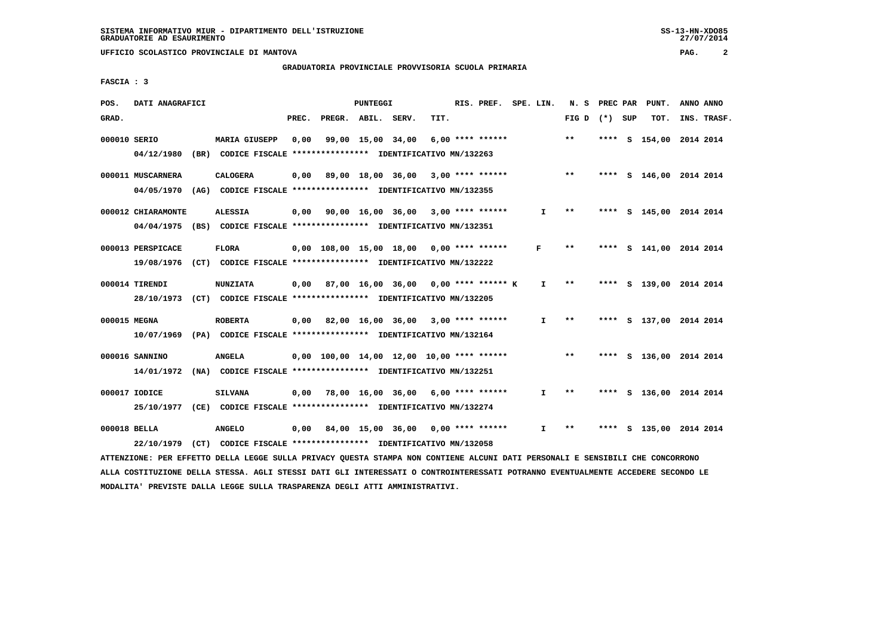# **GRADUATORIA PROVINCIALE PROVVISORIA SCUOLA PRIMARIA**

 **FASCIA : 3**

| POS.         | DATI ANAGRAFICI                                                                                                               |                                                               |       |                                                        | PUNTEGGI |                   |      | RIS. PREF. SPE. LIN. |              |                 | N. S PREC PAR | PUNT.                   | ANNO ANNO   |
|--------------|-------------------------------------------------------------------------------------------------------------------------------|---------------------------------------------------------------|-------|--------------------------------------------------------|----------|-------------------|------|----------------------|--------------|-----------------|---------------|-------------------------|-------------|
| GRAD.        |                                                                                                                               |                                                               | PREC. | PREGR. ABIL. SERV.                                     |          |                   | TIT. |                      |              | FIG D $(*)$ SUP |               | TOT.                    | INS. TRASF. |
| 000010 SERIO |                                                                                                                               | MARIA GIUSEPP                                                 | 0,00  |                                                        |          | 99,00 15,00 34,00 |      | $6,00$ **** ******   |              | $***$           |               | **** S 154,00 2014 2014 |             |
|              | 04/12/1980                                                                                                                    | (BR) CODICE FISCALE **************** IDENTIFICATIVO MN/132263 |       |                                                        |          |                   |      |                      |              |                 |               |                         |             |
|              | 000011 MUSCARNERA                                                                                                             | <b>CALOGERA</b>                                               |       | $0,00$ 89,00 18,00 36,00 3,00 **** ******              |          |                   |      |                      |              | $***$           |               | **** S 146,00 2014 2014 |             |
|              | 04/05/1970 (AG) CODICE FISCALE *************** IDENTIFICATIVO MN/132355                                                       |                                                               |       |                                                        |          |                   |      |                      |              |                 |               |                         |             |
|              | 000012 CHIARAMONTE                                                                                                            | <b>ALESSIA</b>                                                |       | $0,00$ $90,00$ $16,00$ $36,00$ $3,00$ $***$ **** ***** |          |                   |      |                      | I.           | $***$           |               | **** S 145,00 2014 2014 |             |
|              | 04/04/1975 (BS) CODICE FISCALE *************** IDENTIFICATIVO MN/132351                                                       |                                                               |       |                                                        |          |                   |      |                      |              |                 |               |                         |             |
|              | 000013 PERSPICACE                                                                                                             | <b>FLORA</b>                                                  |       | $0,00$ 108,00 15,00 18,00 0,00 **** ******             |          |                   |      |                      | F            | $* *$           |               | **** S 141,00 2014 2014 |             |
|              | 19/08/1976 (CT) CODICE FISCALE *************** IDENTIFICATIVO MN/132222                                                       |                                                               |       |                                                        |          |                   |      |                      |              |                 |               |                         |             |
|              | 000014 TIRENDI                                                                                                                | <b>NUNZIATA</b>                                               |       | $0,00$ 87,00 16,00 36,00 0,00 **** ****** K            |          |                   |      |                      | $\mathbf{I}$ | $* *$           |               | **** S 139,00 2014 2014 |             |
|              | 28/10/1973 (CT) CODICE FISCALE *************** IDENTIFICATIVO MN/132205                                                       |                                                               |       |                                                        |          |                   |      |                      |              |                 |               |                         |             |
| 000015 MEGNA |                                                                                                                               | <b>ROBERTA</b>                                                |       | $0,00$ 82,00 16,00 36,00 3,00 **** ******              |          |                   |      |                      | $\mathbf{I}$ | $* *$           |               | **** S 137,00 2014 2014 |             |
|              | 10/07/1969 (PA) CODICE FISCALE **************** IDENTIFICATIVO MN/132164                                                      |                                                               |       |                                                        |          |                   |      |                      |              |                 |               |                         |             |
|              | 000016 SANNINO                                                                                                                | <b>ANGELA</b>                                                 |       | $0,00$ 100,00 14,00 12,00 10,00 **** ******            |          |                   |      |                      |              | $***$           |               | **** S 136,00 2014 2014 |             |
|              | 14/01/1972 (NA) CODICE FISCALE *************** IDENTIFICATIVO MN/132251                                                       |                                                               |       |                                                        |          |                   |      |                      |              |                 |               |                         |             |
|              | 000017 IODICE                                                                                                                 | <b>SILVANA</b>                                                |       | $0,00$ 78,00 16,00 36,00 6,00 **** ******              |          |                   |      |                      | $\mathbf{I}$ | $***$           |               | **** S 136,00 2014 2014 |             |
|              | 25/10/1977 (CE) CODICE FISCALE *************** IDENTIFICATIVO MN/132274                                                       |                                                               |       |                                                        |          |                   |      |                      |              |                 |               |                         |             |
| 000018 BELLA |                                                                                                                               | <b>ANGELO</b>                                                 |       | $0,00$ 84,00 15,00 36,00 0,00 **** ******              |          |                   |      |                      | I.           | $***$           |               | **** S 135,00 2014 2014 |             |
|              | 22/10/1979                                                                                                                    | (CT) CODICE FISCALE **************** IDENTIFICATIVO MN/132058 |       |                                                        |          |                   |      |                      |              |                 |               |                         |             |
|              | ATTENZIONE: PER EFFETTO DELLA LEGGE SULLA PRIVACY QUESTA STAMPA NON CONTIENE ALCUNI DATI PERSONALI E SENSIBILI CHE CONCORRONO |                                                               |       |                                                        |          |                   |      |                      |              |                 |               |                         |             |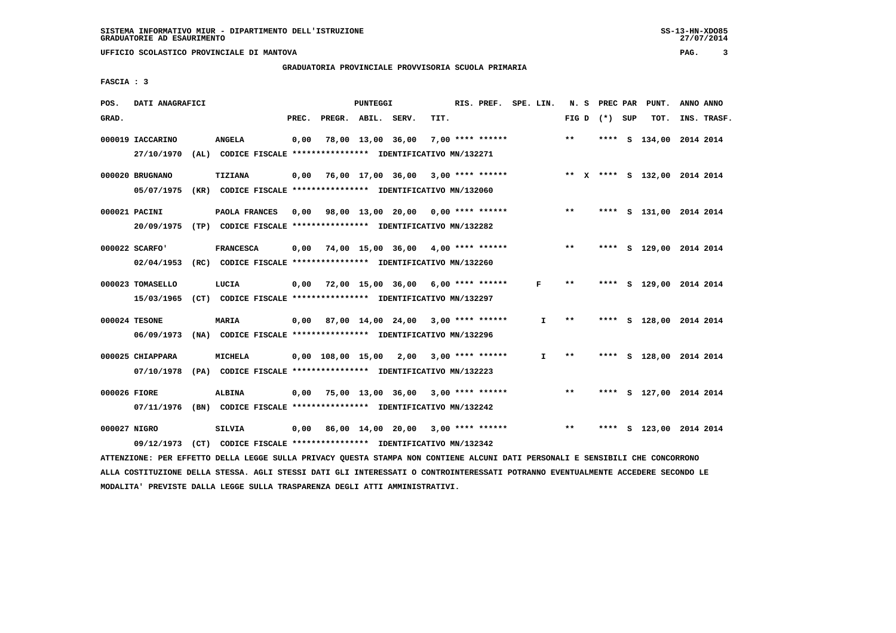# **GRADUATORIA PROVINCIALE PROVVISORIA SCUOLA PRIMARIA**

 **FASCIA : 3**

| POS.         | DATI ANAGRAFICI                |                                                                                                                               |       |                    | PUNTEGGI |                                              |      | RIS. PREF. SPE. LIN. |              |              |                 | N. S PREC PAR PUNT.          | ANNO ANNO |             |
|--------------|--------------------------------|-------------------------------------------------------------------------------------------------------------------------------|-------|--------------------|----------|----------------------------------------------|------|----------------------|--------------|--------------|-----------------|------------------------------|-----------|-------------|
| GRAD.        |                                |                                                                                                                               | PREC. | PREGR. ABIL. SERV. |          |                                              | TIT. |                      |              |              | FIG D $(*)$ SUP | TOT.                         |           | INS. TRASF. |
|              | 000019 IACCARINO<br>27/10/1970 | <b>ANGELA</b><br>(AL) CODICE FISCALE **************** IDENTIFICATIVO MN/132271                                                | 0,00  |                    |          | 78,00 13,00 36,00                            |      | 7,00 **** ******     |              | $* *$        |                 | **** S 134,00 2014 2014      |           |             |
|              |                                |                                                                                                                               |       |                    |          |                                              |      |                      |              |              |                 |                              |           |             |
|              | 000020 BRUGNANO                | <b>TIZIANA</b>                                                                                                                | 0,00  |                    |          | 76,00 17,00 36,00 3,00 **** ******           |      |                      |              |              |                 | ** X **** S 132,00 2014 2014 |           |             |
|              |                                | 05/07/1975 (KR) CODICE FISCALE *************** IDENTIFICATIVO MN/132060                                                       |       |                    |          |                                              |      |                      |              |              |                 |                              |           |             |
|              | 000021 PACINI                  | PAOLA FRANCES                                                                                                                 |       |                    |          | 0,00 98,00 13,00 20,00 0,00 **** ******      |      |                      |              | $\star\star$ |                 | **** S 131,00 2014 2014      |           |             |
|              |                                | 20/09/1975 (TP) CODICE FISCALE **************** IDENTIFICATIVO MN/132282                                                      |       |                    |          |                                              |      |                      |              |              |                 |                              |           |             |
|              | 000022 SCARFO'                 | <b>FRANCESCA</b>                                                                                                              |       |                    |          | $0,00$ 74,00 15,00 36,00 4,00 **** ******    |      |                      |              | $***$        |                 | **** S 129,00 2014 2014      |           |             |
|              | 02/04/1953                     | (RC) CODICE FISCALE **************** IDENTIFICATIVO MN/132260                                                                 |       |                    |          |                                              |      |                      |              |              |                 |                              |           |             |
|              | 000023 TOMASELLO               | LUCIA                                                                                                                         |       |                    |          | $0,00$ 72,00 15,00 36,00 6,00 **** ******    |      |                      | F            | $* *$        |                 | **** S 129,00 2014 2014      |           |             |
|              |                                | 15/03/1965 (CT) CODICE FISCALE *************** IDENTIFICATIVO MN/132297                                                       |       |                    |          |                                              |      |                      |              |              |                 |                              |           |             |
|              | 000024 TESONE                  | MARIA                                                                                                                         |       |                    |          | $0,00$ 87,00 14,00 24,00 3,00 **** ******    |      |                      | $\mathbf{I}$ | $***$        |                 | **** S 128,00 2014 2014      |           |             |
|              |                                | 06/09/1973 (NA) CODICE FISCALE **************** IDENTIFICATIVO MN/132296                                                      |       |                    |          |                                              |      |                      |              |              |                 |                              |           |             |
|              |                                |                                                                                                                               |       |                    |          |                                              |      |                      |              |              |                 |                              |           |             |
|              | 000025 CHIAPPARA               | <b>MICHELA</b>                                                                                                                |       |                    |          | 0,00 108,00 15,00 2,00                       |      | $3,00$ **** ******   | $\mathbf{I}$ | **           |                 | **** S 128,00 2014 2014      |           |             |
|              |                                | 07/10/1978 (PA) CODICE FISCALE *************** IDENTIFICATIVO MN/132223                                                       |       |                    |          |                                              |      |                      |              |              |                 |                              |           |             |
| 000026 FIORE |                                | <b>ALBINA</b>                                                                                                                 |       |                    |          | $0,00$ 75,00 13,00 36,00 3,00 **** ******    |      |                      |              | $***$        |                 | **** S 127,00 2014 2014      |           |             |
|              |                                | 07/11/1976 (BN) CODICE FISCALE *************** IDENTIFICATIVO MN/132242                                                       |       |                    |          |                                              |      |                      |              |              |                 |                              |           |             |
| 000027 NIGRO |                                | <b>SILVIA</b>                                                                                                                 | 0,00  |                    |          | 86,00 14,00 20,00 3,00 **** ****** *** ** ** |      |                      |              |              |                 | **** S 123,00 2014 2014      |           |             |
|              | 09/12/1973                     | (CT) CODICE FISCALE **************** IDENTIFICATIVO MN/132342                                                                 |       |                    |          |                                              |      |                      |              |              |                 |                              |           |             |
|              |                                | ATTENZIONE: PER EFFETTO DELLA LEGGE SULLA PRIVACY QUESTA STAMPA NON CONTIENE ALCUNI DATI PERSONALI E SENSIBILI CHE CONCORRONO |       |                    |          |                                              |      |                      |              |              |                 |                              |           |             |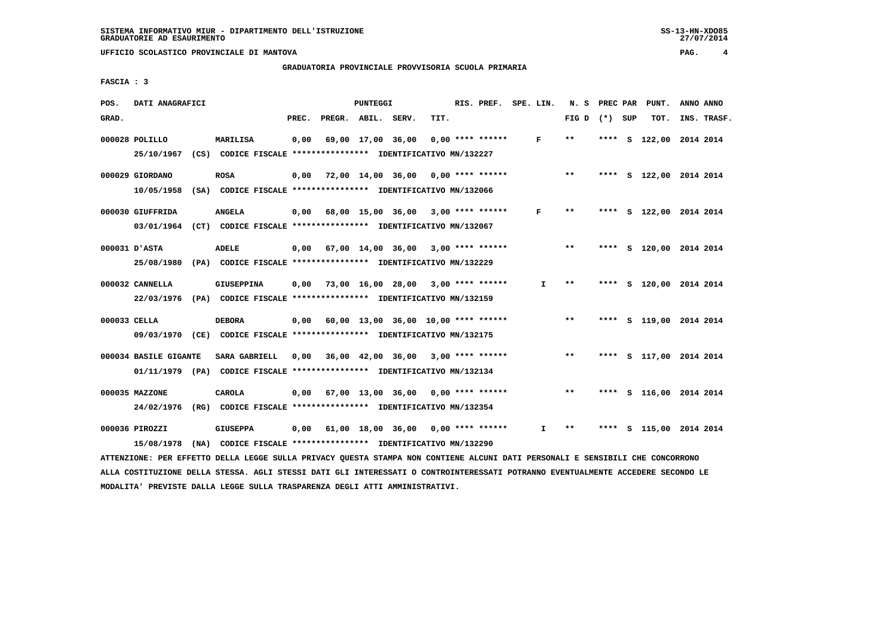# **GRADUATORIA PROVINCIALE PROVVISORIA SCUOLA PRIMARIA**

 **FASCIA : 3**

| POS.         | DATI ANAGRAFICI                                                                                                               |                                                                                              |       |                                    | PUNTEGGI |                                       |      | RIS. PREF.         | SPE. LIN. |              | N. S            | PREC PAR | PUNT.                   | ANNO ANNO |             |
|--------------|-------------------------------------------------------------------------------------------------------------------------------|----------------------------------------------------------------------------------------------|-------|------------------------------------|----------|---------------------------------------|------|--------------------|-----------|--------------|-----------------|----------|-------------------------|-----------|-------------|
| GRAD.        |                                                                                                                               |                                                                                              | PREC. | PREGR. ABIL. SERV.                 |          |                                       | TIT. |                    |           |              | FIG D $(*)$ SUP |          | TOT.                    |           | INS. TRASF. |
|              | 000028 POLILLO<br>25/10/1967                                                                                                  | MARILISA<br>(CS) CODICE FISCALE **************** IDENTIFICATIVO MN/132227                    | 0,00  |                                    |          | 69,00 17,00 36,00                     |      | $0.00$ **** ****** |           | F            | $**$            |          | **** S 122,00 2014 2014 |           |             |
|              | 000029 GIORDANO<br>10/05/1958                                                                                                 | <b>ROSA</b><br>(SA) CODICE FISCALE **************** IDENTIFICATIVO MN/132066                 | 0,00  | 72,00 14,00 36,00                  |          |                                       |      | $0.00$ **** ****** |           |              | $* *$           |          | **** S 122,00 2014 2014 |           |             |
|              | 000030 GIUFFRIDA<br>03/01/1964                                                                                                | <b>ANGELA</b><br>(CT) CODICE FISCALE **************** IDENTIFICATIVO MN/132067               | 0,00  |                                    |          | 68,00 15,00 36,00                     |      | $3,00$ **** ****** |           | F            | $***$           |          | **** S 122,00 2014 2014 |           |             |
|              | 000031 D'ASTA<br>25/08/1980                                                                                                   | <b>ADELE</b><br>(PA) CODICE FISCALE **************** IDENTIFICATIVO MN/132229                |       | 0,00 67,00 14,00 36,00             |          |                                       |      | $3,00$ **** ****** |           |              | $\star\star$    |          | **** S 120,00 2014 2014 |           |             |
|              | 000032 CANNELLA                                                                                                               | <b>GIUSEPPINA</b><br>22/03/1976 (PA) CODICE FISCALE *************** IDENTIFICATIVO MN/132159 | 0,00  | 73,00 16,00 28,00 3,00 **** ****** |          |                                       |      |                    |           | $\mathbf{I}$ | $* *$           |          | **** S 120,00 2014 2014 |           |             |
| 000033 CELLA | 09/03/1970 (CE) CODICE FISCALE *************** IDENTIFICATIVO MN/132175                                                       | <b>DEBORA</b>                                                                                | 0,00  |                                    |          | $60,00$ 13,00 36,00 10,00 **** ****** |      |                    |           |              | $* *$           |          | **** S 119,00 2014 2014 |           |             |
|              | 000034 BASILE GIGANTE<br>01/11/1979 (PA) CODICE FISCALE *************** IDENTIFICATIVO MN/132134                              | SARA GABRIELL                                                                                | 0.00  | 36,00 42,00 36,00                  |          |                                       |      | $3,00$ **** ****** |           |              | $***$           |          | **** S 117,00 2014 2014 |           |             |
|              | 000035 MAZZONE<br>24/02/1976                                                                                                  | <b>CAROLA</b><br>(RG) CODICE FISCALE **************** IDENTIFICATIVO MN/132354               | 0,00  | 67,00 13,00 36,00 0,00 **** ****** |          |                                       |      |                    |           |              | $**$            |          | **** S 116,00 2014 2014 |           |             |
|              | 000036 PIROZZI<br>15/08/1978<br>(NA)                                                                                          | <b>GIUSEPPA</b><br>CODICE FISCALE **************** IDENTIFICATIVO MN/132290                  | 0,00  |                                    |          | 61,00 18,00 36,00                     |      | $0.00$ **** ****** |           | I.           | **              |          | **** S 115,00 2014 2014 |           |             |
|              | ATTENZIONE: PER EFFETTO DELLA LEGGE SULLA PRIVACY QUESTA STAMPA NON CONTIENE ALCUNI DATI PERSONALI E SENSIBILI CHE CONCORRONO |                                                                                              |       |                                    |          |                                       |      |                    |           |              |                 |          |                         |           |             |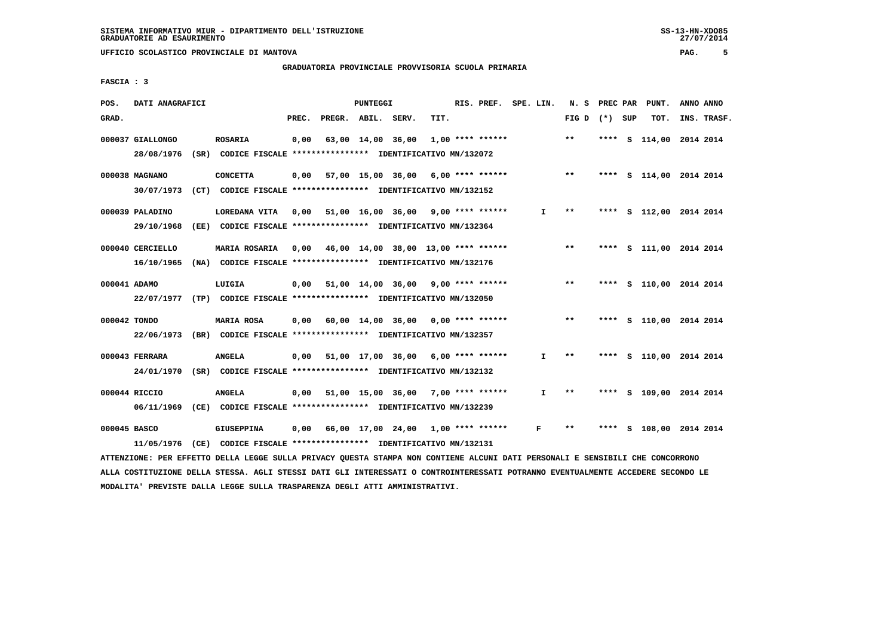# **GRADUATORIA PROVINCIALE PROVVISORIA SCUOLA PRIMARIA**

 **FASCIA : 3**

| POS.         | DATI ANAGRAFICI  |                                                                                                                               |       |                    | PUNTEGGI |                                            |      | RIS. PREF. SPE. LIN. |              |                 |      | N. S PREC PAR PUNT.     | ANNO ANNO |             |
|--------------|------------------|-------------------------------------------------------------------------------------------------------------------------------|-------|--------------------|----------|--------------------------------------------|------|----------------------|--------------|-----------------|------|-------------------------|-----------|-------------|
| GRAD.        |                  |                                                                                                                               | PREC. | PREGR. ABIL. SERV. |          |                                            | TIT. |                      |              | FIG D $(*)$ SUP |      | TOT.                    |           | INS. TRASF. |
|              | 000037 GIALLONGO | <b>ROSARIA</b>                                                                                                                | 0,00  |                    |          | 63,00 14,00 36,00                          |      | $1,00$ **** ******   |              | $* *$           | **** | S 114,00 2014 2014      |           |             |
|              | 28/08/1976       | (SR) CODICE FISCALE **************** IDENTIFICATIVO MN/132072                                                                 |       |                    |          |                                            |      |                      |              |                 |      |                         |           |             |
|              | 000038 MAGNANO   | <b>CONCETTA</b>                                                                                                               | 0,00  |                    |          | 57,00 15,00 36,00 6,00 **** ******         |      |                      |              | $***$           |      | **** S 114,00 2014 2014 |           |             |
|              | 30/07/1973       | (CT) CODICE FISCALE **************** IDENTIFICATIVO MN/132152                                                                 |       |                    |          |                                            |      |                      |              |                 |      |                         |           |             |
|              | 000039 PALADINO  | LOREDANA VITA 0,00 51,00 16,00 36,00 9,00 **** ******                                                                         |       |                    |          |                                            |      |                      | I.           | $***$           |      | **** S 112,00 2014 2014 |           |             |
|              | 29/10/1968       | (EE) CODICE FISCALE **************** IDENTIFICATIVO MN/132364                                                                 |       |                    |          |                                            |      |                      |              |                 |      |                         |           |             |
|              | 000040 CERCIELLO | <b>MARIA ROSARIA</b>                                                                                                          |       |                    |          | $0,00$ 46,00 14,00 38,00 13,00 **** ****** |      |                      |              | $* *$           |      | **** S 111,00 2014 2014 |           |             |
|              | 16/10/1965       | (NA) CODICE FISCALE **************** IDENTIFICATIVO MN/132176                                                                 |       |                    |          |                                            |      |                      |              |                 |      |                         |           |             |
| 000041 ADAMO |                  | LUIGIA                                                                                                                        | 0,00  |                    |          | 51,00 14,00 36,00 9,00 **** ******         |      |                      |              | $***$           |      | **** S 110,00 2014 2014 |           |             |
|              |                  | 22/07/1977 (TP) CODICE FISCALE *************** IDENTIFICATIVO MN/132050                                                       |       |                    |          |                                            |      |                      |              |                 |      |                         |           |             |
| 000042 TONDO |                  | MARIA ROSA                                                                                                                    | 0,00  |                    |          | 60,00 14,00 36,00 0,00 **** ******         |      |                      |              | $***$           |      | **** S 110,00 2014 2014 |           |             |
|              | 22/06/1973       | (BR) CODICE FISCALE *************** IDENTIFICATIVO MN/132357                                                                  |       |                    |          |                                            |      |                      |              |                 |      |                         |           |             |
|              | 000043 FERRARA   | <b>ANGELA</b>                                                                                                                 | 0,00  |                    |          | 51,00 17,00 36,00                          |      | $6,00$ **** ******   | $\mathbf{I}$ | $**$            |      | **** S 110,00 2014 2014 |           |             |
|              | 24/01/1970       | (SR) CODICE FISCALE **************** IDENTIFICATIVO MN/132132                                                                 |       |                    |          |                                            |      |                      |              |                 |      |                         |           |             |
|              | 000044 RICCIO    | <b>ANGELA</b>                                                                                                                 | 0,00  |                    |          | 51,00 15,00 36,00 7,00 **** ******         |      |                      | $\mathbf{I}$ | $* *$           |      | **** S 109,00 2014 2014 |           |             |
|              | 06/11/1969       | (CE) CODICE FISCALE **************** IDENTIFICATIVO MN/132239                                                                 |       |                    |          |                                            |      |                      |              |                 |      |                         |           |             |
| 000045 BASCO |                  | <b>GIUSEPPINA</b>                                                                                                             | 0,00  |                    |          | 66,00 17,00 24,00 1,00 **** ******         |      |                      | $\mathbf{F}$ | $***$           |      | **** S 108,00 2014 2014 |           |             |
|              | 11/05/1976       | (CE) CODICE FISCALE **************** IDENTIFICATIVO MN/132131                                                                 |       |                    |          |                                            |      |                      |              |                 |      |                         |           |             |
|              |                  | ATTENZIONE: PER EFFETTO DELLA LEGGE SULLA PRIVACY QUESTA STAMPA NON CONTIENE ALCUNI DATI PERSONALI E SENSIBILI CHE CONCORRONO |       |                    |          |                                            |      |                      |              |                 |      |                         |           |             |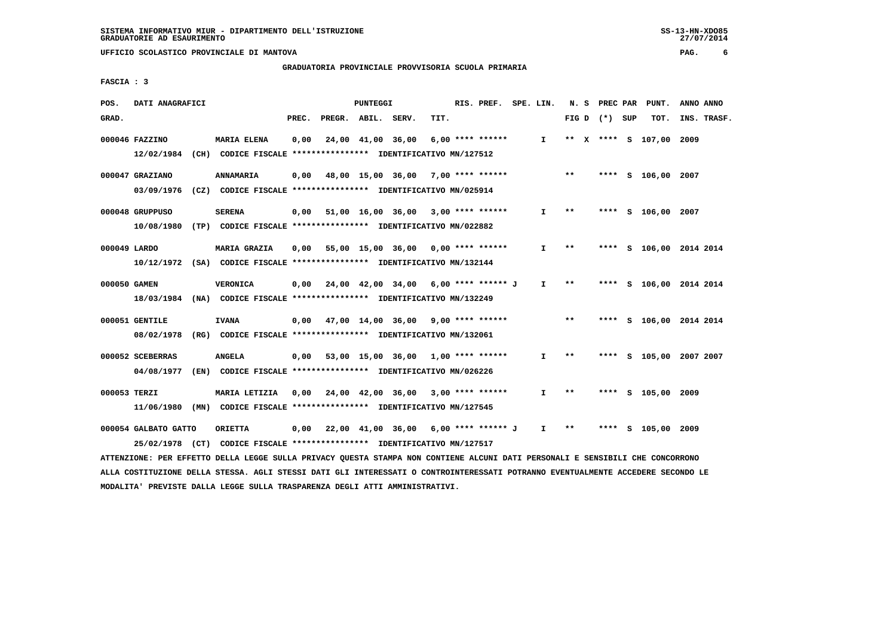# **GRADUATORIA PROVINCIALE PROVVISORIA SCUOLA PRIMARIA**

 **FASCIA : 3**

| POS.         | DATI ANAGRAFICI                                                                             |                    |       |                    | PUNTEGGI |                                                                                                              |      | RIS. PREF.         | SPE. LIN.    |       | N. S PREC PAR   |   | PUNT.                   | ANNO ANNO               |
|--------------|---------------------------------------------------------------------------------------------|--------------------|-------|--------------------|----------|--------------------------------------------------------------------------------------------------------------|------|--------------------|--------------|-------|-----------------|---|-------------------------|-------------------------|
| GRAD.        |                                                                                             |                    | PREC. | PREGR. ABIL. SERV. |          |                                                                                                              | TIT. |                    |              |       | FIG D $(*)$ SUP |   | TOT.                    | INS. TRASF.             |
|              | 000046 FAZZINO<br>12/02/1984 (CH) CODICE FISCALE *************** IDENTIFICATIVO MN/127512   | <b>MARIA ELENA</b> | 0,00  |                    |          | 24,00 41,00 36,00                                                                                            |      | $6,00$ **** ****** | $\mathbf{I}$ |       |                 |   | ** X **** S 107,00 2009 |                         |
|              | 000047 GRAZIANO<br>03/09/1976                                                               | ANNAMARIA          | 0,00  |                    |          | 48,00 15,00 36,00 7,00 **** ******<br>(CZ) CODICE FISCALE **************** IDENTIFICATIVO MN/025914          |      |                    |              | $**$  |                 |   | **** S 106,00 2007      |                         |
|              | 000048 GRUPPUSO<br>10/08/1980                                                               | <b>SERENA</b>      | 0,00  | 51,00 16,00 36,00  |          | (TP) CODICE FISCALE **************** IDENTIFICATIVO MN/022882                                                |      | 3,00 **** ******   | $\mathbf{I}$ | **    |                 |   | **** S 106,00 2007      |                         |
| 000049 LARDO | 10/12/1972 (SA) CODICE FISCALE *************** IDENTIFICATIVO MN/132144                     | MARIA GRAZIA       | 0,00  |                    |          | 55,00 15,00 36,00 0,00 **** ******                                                                           |      |                    | $\mathbf{I}$ | $* *$ |                 |   |                         | **** S 106,00 2014 2014 |
| 000050 GAMEN | 18/03/1984 (NA) CODICE FISCALE *************** IDENTIFICATIVO MN/132249                     | <b>VERONICA</b>    |       |                    |          | $0,00$ 24,00 42,00 34,00 6,00 **** ****** J                                                                  |      |                    | $\mathbf{I}$ | **    |                 |   |                         | **** S 106,00 2014 2014 |
|              | 000051 GENTILE<br>08/02/1978                                                                | <b>IVANA</b>       |       |                    |          | $0,00$ 47,00 14,00 36,00 9,00 **** ******<br>(RG) CODICE FISCALE **************** IDENTIFICATIVO MN/132061   |      |                    |              | $***$ |                 |   |                         | **** S 106,00 2014 2014 |
|              | 000052 SCEBERRAS<br>04/08/1977 (EN) CODICE FISCALE *************** IDENTIFICATIVO MN/026226 | <b>ANGELA</b>      |       |                    |          | $0,00$ 53,00 15,00 36,00 1,00 **** ******                                                                    |      |                    | I.           | $* *$ | ****            |   |                         | S 105,00 2007 2007      |
| 000053 TERZI | 11/06/1980                                                                                  | MARIA LETIZIA      |       |                    |          | 0,00 24,00 42,00 36,00<br>(MN) CODICE FISCALE **************** IDENTIFICATIVO MN/127545                      |      | $3,00$ **** ****** | $\mathbf{I}$ | $* *$ | ****            |   | S 105,00 2009           |                         |
|              | 000054 GALBATO GATTO<br>25/02/1978                                                          | <b>ORIETTA</b>     |       |                    |          | $0,00$ 22,00 41,00 36,00 6,00 **** ****** J<br>(CT) CODICE FISCALE **************** IDENTIFICATIVO MN/127517 |      |                    | $\mathbf{I}$ | $* *$ | ****            | s | 105,00                  | 2009                    |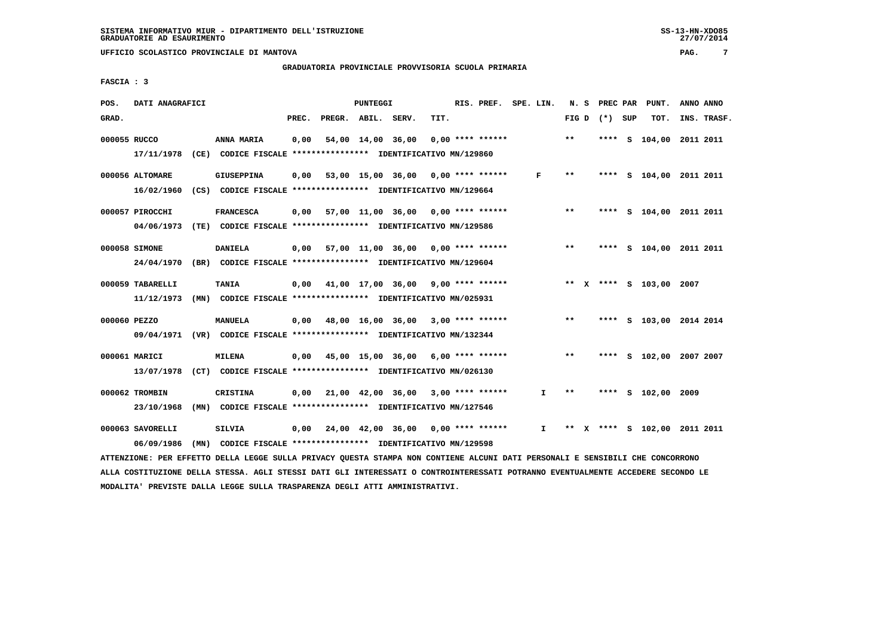# **GRADUATORIA PROVINCIALE PROVVISORIA SCUOLA PRIMARIA**

 **FASCIA : 3**

| POS.         | DATI ANAGRAFICI             |                                                                                                                               |       |                    | PUNTEGGI |                                           |      | RIS. PREF. SPE. LIN. |              | N.S   | PREC PAR | PUNT.                        | ANNO ANNO |             |
|--------------|-----------------------------|-------------------------------------------------------------------------------------------------------------------------------|-------|--------------------|----------|-------------------------------------------|------|----------------------|--------------|-------|----------|------------------------------|-----------|-------------|
| GRAD.        |                             |                                                                                                                               | PREC. | PREGR. ABIL. SERV. |          |                                           | TIT. |                      |              | FIG D | (*) SUP  | TOT.                         |           | INS. TRASF. |
| 000055 RUCCO |                             | ANNA MARIA                                                                                                                    | 0,00  |                    |          | 54,00 14,00 36,00                         |      | $0.00$ **** ******   |              | **    |          | **** S 104,00 2011 2011      |           |             |
|              | 17/11/1978                  | (CE) CODICE FISCALE **************** IDENTIFICATIVO MN/129860                                                                 |       |                    |          |                                           |      |                      |              |       |          |                              |           |             |
|              | 000056 ALTOMARE             | <b>GIUSEPPINA</b>                                                                                                             | 0,00  |                    |          | 53,00 15,00 36,00 0,00 **** ******        |      |                      | F            | $***$ |          | **** S 104,00 2011 2011      |           |             |
|              | 16/02/1960                  | (CS) CODICE FISCALE **************** IDENTIFICATIVO MN/129664                                                                 |       |                    |          |                                           |      |                      |              |       |          |                              |           |             |
|              | 000057 PIROCCHI             | <b>FRANCESCA</b>                                                                                                              | 0,00  |                    |          | 57,00 11,00 36,00 0,00 **** ******        |      |                      |              | $* *$ |          | **** S 104,00 2011 2011      |           |             |
|              | 04/06/1973                  | (TE) CODICE FISCALE *************** IDENTIFICATIVO MN/129586                                                                  |       |                    |          |                                           |      |                      |              |       |          |                              |           |             |
|              | 000058 SIMONE               | <b>DANIELA</b>                                                                                                                |       |                    |          | $0,00$ 57,00 11,00 36,00 0,00 **** ****** |      |                      |              | $* *$ |          | **** S 104,00 2011 2011      |           |             |
|              | 24/04/1970                  | (BR) CODICE FISCALE **************** IDENTIFICATIVO MN/129604                                                                 |       |                    |          |                                           |      |                      |              |       |          |                              |           |             |
|              | 000059 TABARELLI            | <b>TANIA</b>                                                                                                                  | 0,00  |                    |          | 41,00 17,00 36,00 9,00 **** ******        |      |                      |              |       |          | ** X **** S 103,00 2007      |           |             |
|              | 11/12/1973                  | (MN) CODICE FISCALE **************** IDENTIFICATIVO MN/025931                                                                 |       |                    |          |                                           |      |                      |              |       |          |                              |           |             |
| 000060 PEZZO |                             | MANUELA                                                                                                                       | 0,00  |                    |          | 48,00 16,00 36,00 3,00 **** ******        |      |                      |              | $**$  |          | **** S 103,00 2014 2014      |           |             |
|              |                             | 09/04/1971 (VR) CODICE FISCALE *************** IDENTIFICATIVO MN/132344                                                       |       |                    |          |                                           |      |                      |              |       |          |                              |           |             |
|              |                             |                                                                                                                               |       |                    |          |                                           |      |                      |              |       |          |                              |           |             |
|              | 000061 MARICI<br>13/07/1978 | <b>MILENA</b><br>(CT) CODICE FISCALE **************** IDENTIFICATIVO MN/026130                                                |       |                    |          | 0,00 45,00 15,00 36,00                    |      | $6,00$ **** ******   |              | $***$ |          | **** S 102,00 2007 2007      |           |             |
|              |                             |                                                                                                                               |       |                    |          |                                           |      |                      |              |       |          |                              |           |             |
|              | 000062 TROMBIN              | <b>CRISTINA</b>                                                                                                               | 0.00  |                    |          | 21,00 42,00 36,00 3,00 **** ******        |      |                      | $\mathbf{I}$ | $* *$ |          | **** S 102,00 2009           |           |             |
|              | 23/10/1968                  | (MN) CODICE FISCALE **************** IDENTIFICATIVO MN/127546                                                                 |       |                    |          |                                           |      |                      |              |       |          |                              |           |             |
|              | 000063 SAVORELLI            | SILVIA                                                                                                                        | 0,00  |                    |          | 24,00 42,00 36,00 0,00 **** ******        |      |                      | I.           |       |          | ** X **** S 102,00 2011 2011 |           |             |
|              | 06/09/1986                  | (MN) CODICE FISCALE *************** IDENTIFICATIVO MN/129598                                                                  |       |                    |          |                                           |      |                      |              |       |          |                              |           |             |
|              |                             | ATTENZIONE: PER EFFETTO DELLA LEGGE SULLA PRIVACY QUESTA STAMPA NON CONTIENE ALCUNI DATI PERSONALI E SENSIBILI CHE CONCORRONO |       |                    |          |                                           |      |                      |              |       |          |                              |           |             |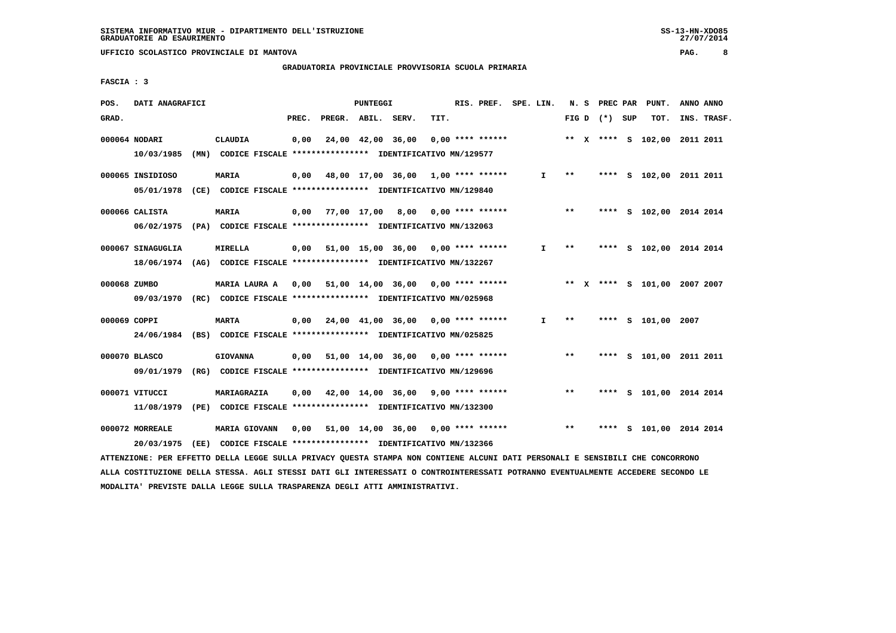# **GRADUATORIA PROVINCIALE PROVVISORIA SCUOLA PRIMARIA**

 **FASCIA : 3**

| POS.         | DATI ANAGRAFICI                                                                              |                      |       |                    | PUNTEGGI |                                                                                                           |      | RIS. PREF. SPE. LIN. |              |              | N. S PREC PAR   | PUNT.                        | ANNO ANNO |             |
|--------------|----------------------------------------------------------------------------------------------|----------------------|-------|--------------------|----------|-----------------------------------------------------------------------------------------------------------|------|----------------------|--------------|--------------|-----------------|------------------------------|-----------|-------------|
| GRAD.        |                                                                                              |                      | PREC. | PREGR. ABIL. SERV. |          |                                                                                                           | TIT. |                      |              |              | FIG D $(*)$ SUP | TOT.                         |           | INS. TRASF. |
|              | 000064 NODARI<br>10/03/1985                                                                  | <b>CLAUDIA</b>       | 0,00  |                    |          | 24,00 42,00 36,00<br>(MN) CODICE FISCALE **************** IDENTIFICATIVO MN/129577                        |      | $0.00$ **** ******   |              |              |                 | ** X **** S 102,00 2011 2011 |           |             |
|              | 000065 INSIDIOSO<br>05/01/1978                                                               | MARIA                | 0,00  |                    |          | 48,00 17,00 36,00 1,00 **** ******<br>(CE) CODICE FISCALE **************** IDENTIFICATIVO MN/129840       |      |                      | $\mathbf{I}$ | $* *$        |                 | **** S 102,00 2011 2011      |           |             |
|              | 000066 CALISTA<br>06/02/1975 (PA) CODICE FISCALE *************** IDENTIFICATIVO MN/132063    | MARIA                |       |                    |          | $0,00$ 77,00 17,00 8,00 0,00 **** ******                                                                  |      |                      |              | $***$        |                 | **** S 102,00 2014 2014      |           |             |
|              | 000067 SINAGUGLIA<br>18/06/1974 (AG) CODICE FISCALE *************** IDENTIFICATIVO MN/132267 | MIRELLA              |       |                    |          | $0,00$ 51,00 15,00 36,00 0,00 **** ******                                                                 |      |                      | $\mathbf{I}$ | $\star\star$ |                 | **** S 102,00 2014 2014      |           |             |
| 000068 ZUMBO | 09/03/1970 (RC) CODICE FISCALE *************** IDENTIFICATIVO MN/025968                      |                      |       |                    |          | MARIA LAURA A 0,00 51,00 14,00 36,00 0,00 **** ******                                                     |      |                      |              |              |                 | ** X **** S 101,00 2007 2007 |           |             |
| 000069 COPPI | 24/06/1984 (BS) CODICE FISCALE *************** IDENTIFICATIVO MN/025825                      | <b>MARTA</b>         |       |                    |          | $0.00$ 24.00 41.00 36.00 0.00 **** ******                                                                 |      |                      | $\mathbf{I}$ | $* *$        |                 | **** S 101,00 2007           |           |             |
|              | 000070 BLASCO<br>09/01/1979                                                                  | <b>GIOVANNA</b>      |       |                    |          | $0,00$ 51,00 14,00 36,00 0,00 **** ******<br>(RG) CODICE FISCALE *************** IDENTIFICATIVO MN/129696 |      |                      |              | $* *$        |                 | **** S 101,00 2011 2011      |           |             |
|              | 000071 VITUCCI<br>11/08/1979                                                                 | MARIAGRAZIA          | 0,00  |                    |          | 42,00 14,00 36,00<br>(PE) CODICE FISCALE **************** IDENTIFICATIVO MN/132300                        |      | $9,00$ **** ******   |              | $* *$        |                 | **** S 101,00 2014 2014      |           |             |
|              | 000072 MORREALE<br>20/03/1975                                                                | <b>MARIA GIOVANN</b> | 0,00  |                    |          | 51,00 14,00 36,00<br>(EE) CODICE FISCALE *************** IDENTIFICATIVO MN/132366                         |      | $0,00$ **** ******   |              | $***$        | ****            | S 101,00 2014 2014           |           |             |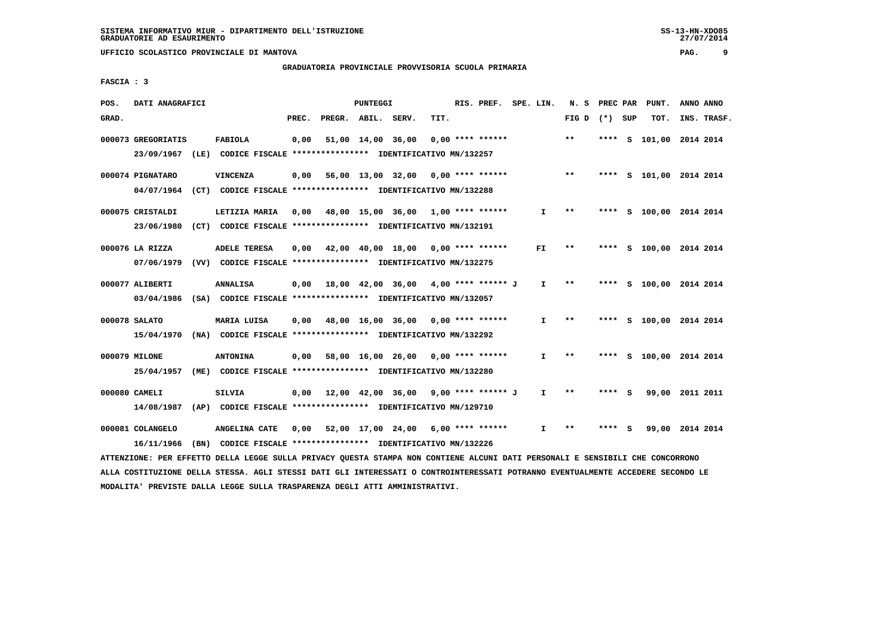# **GRADUATORIA PROVINCIALE PROVVISORIA SCUOLA PRIMARIA**

 **FASCIA : 3**

| POS.<br>DATI ANAGRAFICI          |                         | PUNTEGGI                                                                                   |               | RIS. PREF.         | SPE. LIN.    | N.S   | PREC PAR     | PUNT. | ANNO ANNO               |
|----------------------------------|-------------------------|--------------------------------------------------------------------------------------------|---------------|--------------------|--------------|-------|--------------|-------|-------------------------|
| GRAD.                            |                         | PREC.<br>PREGR. ABIL.                                                                      | TIT.<br>SERV. |                    |              | FIG D | $(*)$<br>SUP | TOT.  | INS. TRASF.             |
| 000073 GREGORIATIS<br>23/09/1967 | <b>FABIOLA</b>          | 0,00<br>51,00 14,00 36,00<br>(LE) CODICE FISCALE **************** IDENTIFICATIVO MN/132257 |               | $0,00$ **** ****** |              | $* *$ | ****         |       | S 101,00 2014 2014      |
| 000074 PIGNATARO<br>04/07/1964   | <b>VINCENZA</b>         | 56,00 13,00 32,00<br>0,00<br>(CT) CODICE FISCALE **************** IDENTIFICATIVO MN/132288 |               | $0.00$ **** ****** |              | $* *$ | ****<br>- S  |       | 101,00 2014 2014        |
| 000075 CRISTALDI<br>23/06/1980   | LETIZIA MARIA           | 0,00<br>48,00 15,00 36,00<br>(CT) CODICE FISCALE **************** IDENTIFICATIVO MN/132191 |               | $1.00$ **** ****** | $\mathbf{I}$ | $* *$ | ****         |       | S 100,00 2014 2014      |
| 000076 LA RIZZA<br>07/06/1979    | <b>ADELE TERESA</b>     | 42,00 40,00 18,00<br>0,00<br>(VV) CODICE FISCALE **************** IDENTIFICATIVO MN/132275 |               | $0.00$ **** ****** | FI.          | $* *$ |              |       | **** S 100,00 2014 2014 |
| 000077 ALIBERTI<br>03/04/1986    | <b>ANNALISA</b>         | 0,00<br>18,00 42,00 36,00<br>(SA) CODICE FISCALE **************** IDENTIFICATIVO MN/132057 |               | 4,00 **** ****** J | I.           | $* *$ | ****         |       | S 100,00 2014 2014      |
| 000078 SALATO<br>15/04/1970      | MARIA LUISA             | 48,00 16,00 36,00<br>0,00<br>(NA) CODICE FISCALE **************** IDENTIFICATIVO MN/132292 |               | $0.00$ **** ****** | I.           | $* *$ |              |       | **** S 100,00 2014 2014 |
| 000079 MILONE<br>25/04/1957      | <b>ANTONINA</b><br>(ME) | 58,00 16,00 26,00<br>0.00<br>CODICE FISCALE **************** IDENTIFICATIVO MN/132280      |               | $0.00$ **** ****** | I.           | $* *$ | ****         |       | S 100,00 2014 2014      |
| 000080 CAMELI<br>14/08/1987      | <b>SILVIA</b>           | 0,00<br>12,00 42,00 36,00<br>(AP) CODICE FISCALE **************** IDENTIFICATIVO MN/129710 |               | 9,00 **** ****** J | I.           | $* *$ | ****<br>- S  | 99,00 | 2011 2011               |
| 000081 COLANGELO<br>16/11/1966   | ANGELINA CATE           | 0,00<br>52,00 17,00 24,00<br>(BN) CODICE FISCALE **************** IDENTIFICATIVO MN/132226 |               | $6.00$ **** ****** | $\mathbf{I}$ | $* *$ |              | 99,00 | 2014 2014               |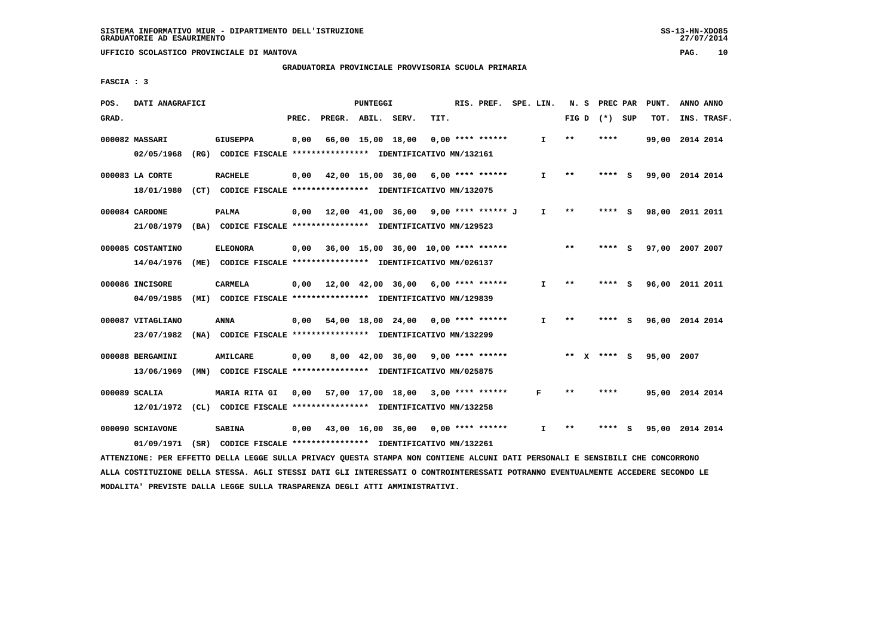# **GRADUATORIA PROVINCIALE PROVVISORIA SCUOLA PRIMARIA**

 **FASCIA : 3**

| POS.  | DATI ANAGRAFICI                                                                             |      |                                                                                  |       |                                                                               | PUNTEGGI |                                     |      | RIS. PREF.         | SPE. LIN.    |              | N.S | PREC PAR        |     | PUNT.           | ANNO ANNO |             |
|-------|---------------------------------------------------------------------------------------------|------|----------------------------------------------------------------------------------|-------|-------------------------------------------------------------------------------|----------|-------------------------------------|------|--------------------|--------------|--------------|-----|-----------------|-----|-----------------|-----------|-------------|
| GRAD. |                                                                                             |      |                                                                                  | PREC. | PREGR. ABIL. SERV.                                                            |          |                                     | TIT. |                    |              |              |     | FIG D $(*)$ SUP |     | TOT.            |           | INS. TRASF. |
|       | 000082 MASSARI<br>02/05/1968                                                                |      | <b>GIUSEPPA</b><br>(RG) CODICE FISCALE **************** IDENTIFICATIVO MN/132161 | 0,00  |                                                                               |          | 66,00 15,00 18,00                   |      | $0.00$ **** ****** | I.           | $* *$        |     | ****            |     | 99,00 2014 2014 |           |             |
|       | 000083 LA CORTE<br>18/01/1980                                                               | (CT) | <b>RACHELE</b>                                                                   | 0,00  | CODICE FISCALE **************** IDENTIFICATIVO MN/132075                      |          | 42,00 15,00 36,00                   |      | 6,00 **** ******   | $\mathbf{I}$ | $**$         |     | ****            | - S | 99,00 2014 2014 |           |             |
|       | 000084 CARDONE<br>21/08/1979 (BA) CODICE FISCALE *************** IDENTIFICATIVO MN/129523   |      | <b>PALMA</b>                                                                     | 0,00  |                                                                               |          | 12,00 41,00 36,00                   |      | 9,00 **** ****** J | $\mathbf{I}$ | $* *$        |     | ****            | - S | 98,00 2011 2011 |           |             |
|       | 000085 COSTANTINO<br>14/04/1976                                                             | (ME) | <b>ELEONORA</b>                                                                  | 0,00  | CODICE FISCALE **************** IDENTIFICATIVO MN/026137                      |          | 36,00 15,00 36,00 10,00 **** ****** |      |                    |              | $***$        |     | ****            | - 5 | 97,00 2007 2007 |           |             |
|       | 000086 INCISORE<br>04/09/1985                                                               |      | <b>CARMELA</b><br>(MI) CODICE FISCALE **************** IDENTIFICATIVO MN/129839  | 0.00  | 12,00 42,00 36,00                                                             |          |                                     |      | $6,00$ **** ****** | $\mathbf{I}$ | $**$         |     | **** S          |     | 96,00 2011 2011 |           |             |
|       | 000087 VITAGLIANO<br>23/07/1982                                                             | (NA) | <b>ANNA</b>                                                                      | 0.00  | CODICE FISCALE **************** IDENTIFICATIVO MN/132299                      |          | 54,00 18,00 24,00                   |      | $0.00$ **** ****** | $\mathbf{I}$ | $* *$        |     | ****            | - S | 96,00 2014 2014 |           |             |
|       | 000088 BERGAMINI<br>13/06/1969                                                              | (MN) | <b>AMILCARE</b>                                                                  | 0,00  | CODICE FISCALE **************** IDENTIFICATIVO MN/025875                      |          | 8,00 42,00 36,00                    |      | $9,00$ **** ****** |              |              |     | ** x **** S     |     | 95,00 2007      |           |             |
|       | 000089 SCALIA<br>12/01/1972                                                                 | CL)  | <b>MARIA RITA GI</b>                                                             | 0,00  | 57,00 17,00 18,00<br>CODICE FISCALE **************** IDENTIFICATIVO MN/132258 |          |                                     |      | $3,00$ **** ****** | F            | $* *$        |     | ****            |     | 95,00 2014 2014 |           |             |
|       | 000090 SCHIAVONE<br>01/09/1971 (SR) CODICE FISCALE *************** IDENTIFICATIVO MN/132261 |      | <b>SABINA</b>                                                                    | 0.00  |                                                                               |          | 43,00 16,00 36,00                   |      | $0.00$ **** ****** | $\mathbf{I}$ | $\star\star$ |     |                 | s   | 95,00 2014 2014 |           |             |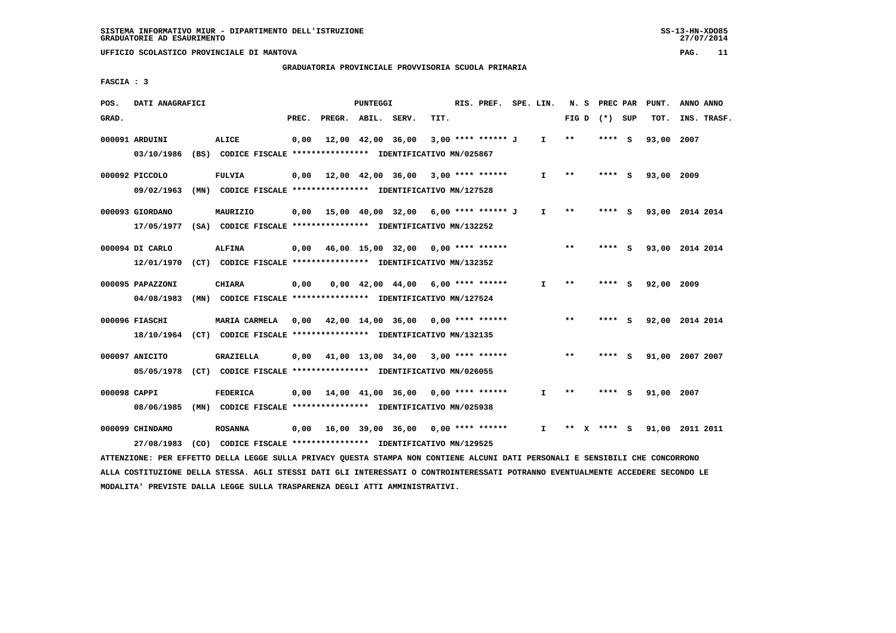# **GRADUATORIA PROVINCIALE PROVVISORIA SCUOLA PRIMARIA**

 **FASCIA : 3**

| POS.         | DATI ANAGRAFICI  |                                                                                                                               |       |                    | PUNTEGGI |                                                                |      | RIS. PREF. SPE. LIN. |              |                 | N. S PREC PAR | PUNT.      | ANNO ANNO       |
|--------------|------------------|-------------------------------------------------------------------------------------------------------------------------------|-------|--------------------|----------|----------------------------------------------------------------|------|----------------------|--------------|-----------------|---------------|------------|-----------------|
| GRAD.        |                  |                                                                                                                               | PREC. | PREGR. ABIL. SERV. |          |                                                                | TIT. |                      |              | FIG D $(*)$ SUP |               | TOT.       | INS. TRASF.     |
|              | 000091 ARDUINI   | ALICE                                                                                                                         | 0,00  |                    |          | 12,00 42,00 36,00                                              |      | 3,00 **** ****** J   | I.           | $**$            | **** S        | 93,00 2007 |                 |
|              |                  | 03/10/1986 (BS) CODICE FISCALE **************** IDENTIFICATIVO MN/025867                                                      |       |                    |          |                                                                |      |                      |              |                 |               |            |                 |
|              | 000092 PICCOLO   | <b>FULVIA</b>                                                                                                                 |       |                    |          | $0,00$ 12,00 42,00 36,00 3,00 **** ******                      |      |                      | I.           | $* *$           | **** S        | 93,00 2009 |                 |
|              |                  | 09/02/1963 (MN) CODICE FISCALE *************** IDENTIFICATIVO MN/127528                                                       |       |                    |          |                                                                |      |                      |              |                 |               |            |                 |
|              | 000093 GIORDANO  | MAURIZIO                                                                                                                      |       |                    |          | $0,00$ 15,00 40,00 32,00 6,00 **** ****** J                    |      |                      | $\mathbf{I}$ | $***$           | $***$ S       |            | 93,00 2014 2014 |
|              |                  | 17/05/1977 (SA) CODICE FISCALE **************** IDENTIFICATIVO MN/132252                                                      |       |                    |          |                                                                |      |                      |              |                 |               |            |                 |
|              | 000094 DI CARLO  | <b>ALFINA</b>                                                                                                                 |       |                    |          | $0.00$ 46.00 15.00 32.00 0.00 **** ******                      |      |                      |              | $* *$           | **** S        |            | 93,00 2014 2014 |
|              |                  | 12/01/1970 (CT) CODICE FISCALE *************** IDENTIFICATIVO MN/132352                                                       |       |                    |          |                                                                |      |                      |              |                 |               |            |                 |
|              | 000095 PAPAZZONI | <b>CHIARA</b>                                                                                                                 | 0,00  |                    |          | $0.00 \quad 42.00 \quad 44.00 \quad 6.00 \quad *** \quad ***}$ |      |                      | $\mathbf{I}$ | $* *$           | **** S        | 92,00 2009 |                 |
|              | 04/08/1983       | (MN) CODICE FISCALE **************** IDENTIFICATIVO MN/127524                                                                 |       |                    |          |                                                                |      |                      |              |                 |               |            |                 |
|              | 000096 FIASCHI   | <b>MARIA CARMELA</b>                                                                                                          |       |                    |          | 0,00 42,00 14,00 36,00 0,00 **** ******                        |      |                      |              | $***$           | **** S        |            | 92,00 2014 2014 |
|              |                  | 18/10/1964 (CT) CODICE FISCALE *************** IDENTIFICATIVO MN/132135                                                       |       |                    |          |                                                                |      |                      |              |                 |               |            |                 |
|              | 000097 ANICITO   | <b>GRAZIELLA</b>                                                                                                              |       |                    |          | $0,00$ 41,00 13,00 34,00 3,00 **** ******                      |      |                      |              | $***$           | **** S        |            | 91,00 2007 2007 |
|              |                  | 05/05/1978 (CT) CODICE FISCALE *************** IDENTIFICATIVO MN/026055                                                       |       |                    |          |                                                                |      |                      |              |                 |               |            |                 |
| 000098 CAPPI |                  | <b>FEDERICA</b>                                                                                                               |       |                    |          | $0,00$ 14,00 41,00 36,00 0,00 **** ******                      |      |                      | $\mathbf{I}$ | $* *$           | $***$ S       | 91,00 2007 |                 |
|              |                  | 08/06/1985 (MN) CODICE FISCALE *************** IDENTIFICATIVO MN/025938                                                       |       |                    |          |                                                                |      |                      |              |                 |               |            |                 |
|              | 000099 CHINDAMO  | <b>ROSANNA</b>                                                                                                                |       |                    |          | $0,00$ 16,00 39,00 36,00 0,00 **** ******                      |      |                      | I.           | ** x **** s     |               |            | 91,00 2011 2011 |
|              | 27/08/1983       | (CO) CODICE FISCALE **************** IDENTIFICATIVO MN/129525                                                                 |       |                    |          |                                                                |      |                      |              |                 |               |            |                 |
|              |                  | ATTENZIONE: PER EFFETTO DELLA LEGGE SULLA PRIVACY QUESTA STAMPA NON CONTIENE ALCUNI DATI PERSONALI E SENSIBILI CHE CONCORRONO |       |                    |          |                                                                |      |                      |              |                 |               |            |                 |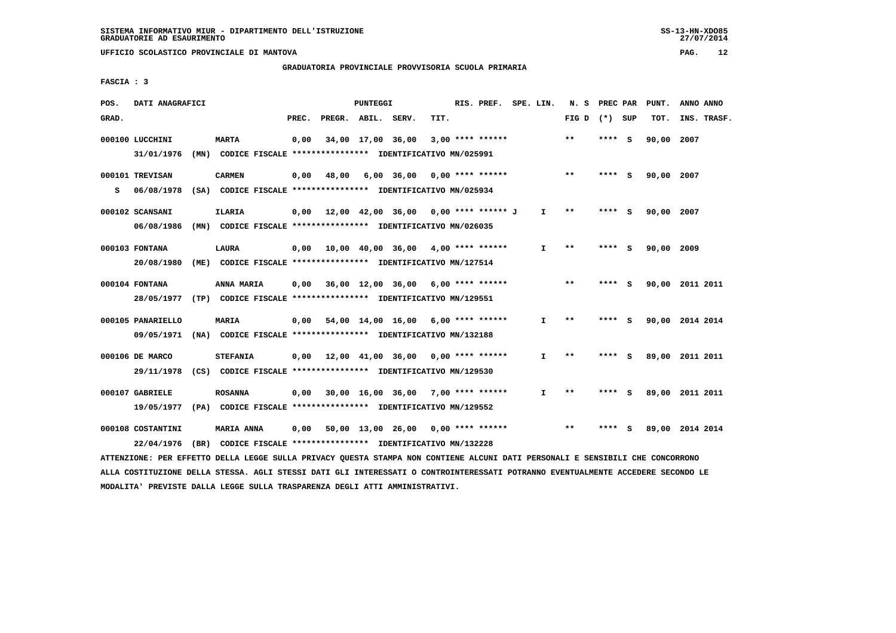# **GRADUATORIA PROVINCIALE PROVVISORIA SCUOLA PRIMARIA**

 **FASCIA : 3**

| POS.  | DATI ANAGRAFICI                                                                                                               |                   |       |              | PUNTEGGI |                                                               |      | RIS. PREF. SPE. LIN. |              | N. S            | PREC PAR |     | PUNT.      | ANNO ANNO       |  |
|-------|-------------------------------------------------------------------------------------------------------------------------------|-------------------|-------|--------------|----------|---------------------------------------------------------------|------|----------------------|--------------|-----------------|----------|-----|------------|-----------------|--|
| GRAD. |                                                                                                                               |                   | PREC. |              |          | PREGR. ABIL. SERV.                                            | TIT. |                      |              | FIG D $(*)$ SUP |          |     | TOT.       | INS. TRASF.     |  |
|       | 000100 LUCCHINI                                                                                                               | <b>MARTA</b>      | 0,00  |              |          | 34,00 17,00 36,00                                             |      | $3,00$ **** ******   |              | $***$           | **** S   |     | 90,00 2007 |                 |  |
|       | 31/01/1976                                                                                                                    |                   |       |              |          | (MN) CODICE FISCALE **************** IDENTIFICATIVO MN/025991 |      |                      |              |                 |          |     |            |                 |  |
|       | 000101 TREVISAN                                                                                                               | <b>CARMEN</b>     |       | $0,00$ 48,00 |          | $6,00$ $36,00$ $0,00$ $***$ **** *****                        |      |                      |              | $***$           | **** S   |     | 90,00 2007 |                 |  |
| s     | 06/08/1978 (SA) CODICE FISCALE **************** IDENTIFICATIVO MN/025934                                                      |                   |       |              |          |                                                               |      |                      |              |                 |          |     |            |                 |  |
|       | 000102 SCANSANI                                                                                                               | ILARIA            |       |              |          | $0,00$ 12,00 42,00 36,00 0,00 **** ****** J                   |      |                      | $\mathbf{I}$ | **              | $***$ S  |     | 90,00 2007 |                 |  |
|       | 06/08/1986                                                                                                                    |                   |       |              |          | (MN) CODICE FISCALE *************** IDENTIFICATIVO MN/026035  |      |                      |              |                 |          |     |            |                 |  |
|       | 000103 FONTANA                                                                                                                | <b>LAURA</b>      |       |              |          | $0.00$ 10.00 40.00 36.00 4.00 **** ******                     |      |                      | $\mathbf{I}$ | $* *$           | **** S   |     | 90,00 2009 |                 |  |
|       | 20/08/1980                                                                                                                    |                   |       |              |          | (ME) CODICE FISCALE **************** IDENTIFICATIVO MN/127514 |      |                      |              |                 |          |     |            |                 |  |
|       | 000104 FONTANA                                                                                                                | ANNA MARIA        |       |              |          | $0.00$ 36.00 12.00 36.00 6.00 **** ******                     |      |                      |              | $***$           | **** S   |     |            | 90,00 2011 2011 |  |
|       | 28/05/1977 (TP) CODICE FISCALE **************** IDENTIFICATIVO MN/129551                                                      |                   |       |              |          |                                                               |      |                      |              |                 |          |     |            |                 |  |
|       | 000105 PANARIELLO                                                                                                             | <b>MARIA</b>      |       |              |          | $0,00$ 54,00 14,00 16,00 6,00 **** ******                     |      |                      | I.           | $\star\star$    | **** S   |     |            | 90,00 2014 2014 |  |
|       | 09/05/1971 (NA) CODICE FISCALE *************** IDENTIFICATIVO MN/132188                                                       |                   |       |              |          |                                                               |      |                      |              |                 |          |     |            |                 |  |
|       | 000106 DE MARCO                                                                                                               | <b>STEFANIA</b>   |       |              |          | 0,00 12,00 41,00 36,00                                        |      | $0.00$ **** ******   | $\mathbf{I}$ | $* *$           | **** S   |     |            | 89,00 2011 2011 |  |
|       | 29/11/1978 (CS) CODICE FISCALE *************** IDENTIFICATIVO MN/129530                                                       |                   |       |              |          |                                                               |      |                      |              |                 |          |     |            |                 |  |
|       | 000107 GABRIELE                                                                                                               | <b>ROSANNA</b>    |       |              |          | $0,00$ 30,00 16,00 36,00 7,00 **** ******                     |      |                      | $\mathbf{I}$ | $**$            | **** S   |     |            | 89,00 2011 2011 |  |
|       | 19/05/1977 (PA) CODICE FISCALE *************** IDENTIFICATIVO MN/129552                                                       |                   |       |              |          |                                                               |      |                      |              |                 |          |     |            |                 |  |
|       | 000108 COSTANTINI                                                                                                             | <b>MARIA ANNA</b> |       |              |          | 0,00 50,00 13,00 26,00 0,00 **** ******                       |      |                      |              | $* *$           | ****     | - S |            | 89,00 2014 2014 |  |
|       | 22/04/1976                                                                                                                    |                   |       |              |          | (BR) CODICE FISCALE *************** IDENTIFICATIVO MN/132228  |      |                      |              |                 |          |     |            |                 |  |
|       | ATTENZIONE: PER EFFETTO DELLA LEGGE SULLA PRIVACY QUESTA STAMPA NON CONTIENE ALCUNI DATI PERSONALI E SENSIBILI CHE CONCORRONO |                   |       |              |          |                                                               |      |                      |              |                 |          |     |            |                 |  |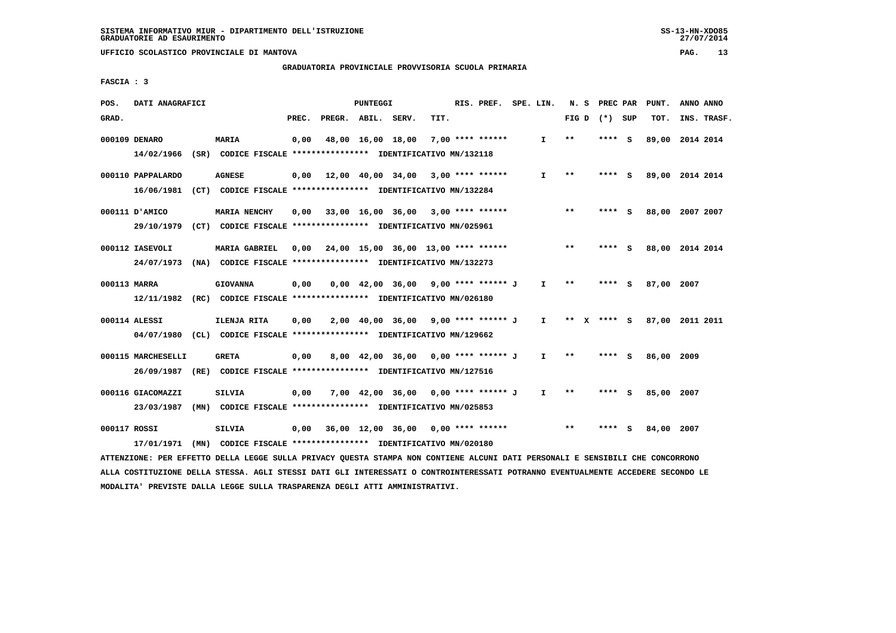#### **GRADUATORIA PROVINCIALE PROVVISORIA SCUOLA PRIMARIA**

 **FASCIA : 3**

| POS.         | DATI ANAGRAFICI    |                                                                                                                               |       | PUNTEGGI |                                            |                  | RIS. PREF. SPE. LIN. |              |       | N. S PREC PAR   | PUNT.           | ANNO ANNO |             |
|--------------|--------------------|-------------------------------------------------------------------------------------------------------------------------------|-------|----------|--------------------------------------------|------------------|----------------------|--------------|-------|-----------------|-----------------|-----------|-------------|
| GRAD.        |                    |                                                                                                                               | PREC. |          | PREGR. ABIL. SERV.                         | TIT.             |                      |              |       | FIG D $(*)$ SUP | TOT.            |           | INS. TRASF. |
|              | 000109 DENARO      | <b>MARIA</b>                                                                                                                  | 0,00  |          | 48,00 16,00 18,00                          | 7,00 **** ****** |                      | $\mathbf{I}$ | $***$ | **** S          | 89,00 2014 2014 |           |             |
|              |                    | 14/02/1966 (SR) CODICE FISCALE *************** IDENTIFICATIVO MN/132118                                                       |       |          |                                            |                  |                      |              |       |                 |                 |           |             |
|              | 000110 PAPPALARDO  | <b>AGNESE</b>                                                                                                                 |       |          | $0,00$ 12,00 40,00 34,00 3,00 **** ******  |                  |                      | $\mathbf{I}$ | $* *$ | **** S          | 89,00 2014 2014 |           |             |
|              |                    | 16/06/1981 (CT) CODICE FISCALE *************** IDENTIFICATIVO MN/132284                                                       |       |          |                                            |                  |                      |              |       |                 |                 |           |             |
|              | 000111 D'AMICO     | <b>MARIA NENCHY</b>                                                                                                           | 0,00  |          | 33,00 16,00 36,00 3,00 **** ******         |                  |                      |              | $* *$ | **** S          | 88,00 2007 2007 |           |             |
|              |                    | 29/10/1979 (CT) CODICE FISCALE *************** IDENTIFICATIVO MN/025961                                                       |       |          |                                            |                  |                      |              |       |                 |                 |           |             |
|              | 000112 IASEVOLI    | <b>MARIA GABRIEL</b>                                                                                                          |       |          | $0,00$ 24,00 15,00 36,00 13,00 **** ****** |                  |                      |              | $* *$ | **** S          | 88,00 2014 2014 |           |             |
|              |                    | 24/07/1973 (NA) CODICE FISCALE *************** IDENTIFICATIVO MN/132273                                                       |       |          |                                            |                  |                      |              |       |                 |                 |           |             |
| 000113 MARRA |                    | <b>GIOVANNA</b>                                                                                                               | 0,00  |          | $0,00$ 42,00 36,00 9,00 **** ****** J      |                  |                      | $\mathbf{I}$ | $* *$ | **** S          | 87,00 2007      |           |             |
|              |                    | 12/11/1982 (RC) CODICE FISCALE **************** IDENTIFICATIVO MN/026180                                                      |       |          |                                            |                  |                      |              |       |                 |                 |           |             |
|              | 000114 ALESSI      | ILENJA RITA                                                                                                                   | 0,00  |          | 2,00 40,00 36,00 9,00 **** ****** J I      |                  |                      |              |       | ** x **** S     | 87.00 2011 2011 |           |             |
|              |                    | 04/07/1980 (CL) CODICE FISCALE *************** IDENTIFICATIVO MN/129662                                                       |       |          |                                            |                  |                      |              |       |                 |                 |           |             |
|              |                    |                                                                                                                               |       |          |                                            |                  |                      |              |       |                 |                 |           |             |
|              | 000115 MARCHESELLI | <b>GRETA</b>                                                                                                                  | 0,00  |          | 8,00 42,00 36,00 0,00 **** ****** J        |                  |                      | $\mathbf{I}$ | **    | **** S          | 86,00 2009      |           |             |
|              |                    | 26/09/1987 (RE) CODICE FISCALE *************** IDENTIFICATIVO MN/127516                                                       |       |          |                                            |                  |                      |              |       |                 |                 |           |             |
|              | 000116 GIACOMAZZI  | <b>SILVIA</b>                                                                                                                 | 0,00  |          | 7,00 42,00 36,00 0,00 **** ****** J        |                  |                      | $\mathbf{I}$ | $* *$ | **** S          | 85,00 2007      |           |             |
|              |                    | 23/03/1987 (MN) CODICE FISCALE *************** IDENTIFICATIVO MN/025853                                                       |       |          |                                            |                  |                      |              |       |                 |                 |           |             |
| 000117 ROSSI |                    | SILVIA                                                                                                                        | 0,00  |          | 36,00 12,00 36,00 0,00 **** ******         |                  |                      |              | $* *$ | **** S          | 84,00 2007      |           |             |
|              | 17/01/1971         | (MN) CODICE FISCALE **************** IDENTIFICATIVO MN/020180                                                                 |       |          |                                            |                  |                      |              |       |                 |                 |           |             |
|              |                    | ATTENZIONE: PER EFFETTO DELLA LEGGE SULLA PRIVACY QUESTA STAMPA NON CONTIENE ALCUNI DATI PERSONALI E SENSIBILI CHE CONCORRONO |       |          |                                            |                  |                      |              |       |                 |                 |           |             |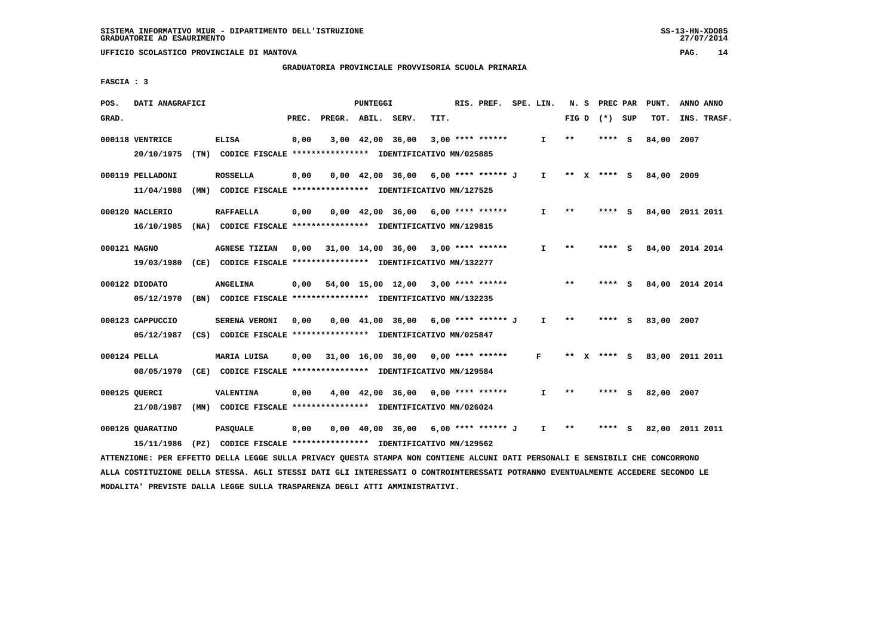# **GRADUATORIA PROVINCIALE PROVVISORIA SCUOLA PRIMARIA**

 **FASCIA : 3**

| POS.         | DATI ANAGRAFICI               |                                                                                                                                 |       |                    | <b>PUNTEGGI</b>  |                                                               |      | RIS. PREF. SPE. LIN. |              |        | N. S PREC PAR   |     | PUNT.      | ANNO ANNO       |  |
|--------------|-------------------------------|---------------------------------------------------------------------------------------------------------------------------------|-------|--------------------|------------------|---------------------------------------------------------------|------|----------------------|--------------|--------|-----------------|-----|------------|-----------------|--|
| GRAD.        |                               |                                                                                                                                 | PREC. | PREGR. ABIL. SERV. |                  |                                                               | TIT. |                      |              |        | FIG D $(*)$ SUP |     | TOT.       | INS. TRASF.     |  |
|              | 000118 VENTRICE<br>20/10/1975 | <b>ELISA</b><br>(TN) CODICE FISCALE *************** IDENTIFICATIVO MN/025885                                                    | 0,00  |                    | 3,00 42,00 36,00 |                                                               |      | $3,00$ **** ******   | I.           | $* *$  | ****            | - S | 84,00      | 2007            |  |
|              |                               |                                                                                                                                 |       |                    |                  |                                                               |      |                      |              |        |                 |     |            |                 |  |
|              | 000119 PELLADONI              | <b>ROSSELLA</b>                                                                                                                 | 0,00  |                    |                  | 0,00 42,00 36,00                                              |      | 6,00 **** ****** J   | $\mathbf{I}$ | ** $X$ | $***$ S         |     | 84,00 2009 |                 |  |
|              | 11/04/1988                    | (MN) CODICE FISCALE *************** IDENTIFICATIVO MN/127525                                                                    |       |                    |                  |                                                               |      |                      |              |        |                 |     |            |                 |  |
|              | 000120 NACLERIO               | <b>RAFFAELLA</b>                                                                                                                | 0,00  |                    |                  | $0.00 \quad 42.00 \quad 36.00 \quad 6.00 \quad *** \quad ***$ |      |                      | $\mathbf{I}$ | $* *$  | **** S          |     |            | 84,00 2011 2011 |  |
|              | 16/10/1985                    | (NA) CODICE FISCALE **************** IDENTIFICATIVO MN/129815                                                                   |       |                    |                  |                                                               |      |                      |              |        |                 |     |            |                 |  |
|              |                               |                                                                                                                                 |       |                    |                  |                                                               |      |                      |              |        |                 |     |            |                 |  |
| 000121 MAGNO |                               | <b>AGNESE TIZIAN</b><br>(CE) CODICE FISCALE **************** IDENTIFICATIVO MN/132277                                           | 0,00  |                    |                  | $31,00$ $14,00$ $36,00$ $3,00$ **** ******                    |      |                      | I.           | $* *$  |                 |     |            | 84,00 2014 2014 |  |
|              | 19/03/1980                    |                                                                                                                                 |       |                    |                  |                                                               |      |                      |              |        |                 |     |            |                 |  |
|              | 000122 DIODATO                | <b>ANGELINA</b>                                                                                                                 | 0,00  |                    |                  | 54,00 15,00 12,00                                             |      | $3,00$ **** ******   |              | $***$  | **** S          |     |            | 84,00 2014 2014 |  |
|              | 05/12/1970                    | (BN) CODICE FISCALE **************** IDENTIFICATIVO MN/132235                                                                   |       |                    |                  |                                                               |      |                      |              |        |                 |     |            |                 |  |
|              | 000123 CAPPUCCIO              | <b>SERENA VERONI</b>                                                                                                            | 0,00  |                    |                  | $0.00$ 41.00 36.00 6.00 **** ****** J                         |      |                      | $\mathbf{I}$ | $***$  | ****            | - S | 83,00      | 2007            |  |
|              | 05/12/1987                    | (CS) CODICE FISCALE **************** IDENTIFICATIVO MN/025847                                                                   |       |                    |                  |                                                               |      |                      |              |        |                 |     |            |                 |  |
|              |                               |                                                                                                                                 |       |                    |                  |                                                               |      |                      |              |        |                 |     |            |                 |  |
| 000124 PELLA |                               | <b>MARIA LUISA</b>                                                                                                              | 0.00  |                    |                  | 31,00 16,00 36,00                                             |      | $0.00$ **** ******   | F            | $* *$  | $***$ S         |     |            | 83,00 2011 2011 |  |
|              |                               | 08/05/1970 (CE) CODICE FISCALE *************** IDENTIFICATIVO MN/129584                                                         |       |                    |                  |                                                               |      |                      |              |        |                 |     |            |                 |  |
|              | 000125 OUERCI                 | <b>VALENTINA</b>                                                                                                                | 0,00  |                    |                  | 4,00 42,00 36,00                                              |      | $0.00$ **** ******   | $\mathbf{I}$ | $**$   | ****            | - 5 | 82,00 2007 |                 |  |
|              | 21/08/1987                    | (MN) CODICE FISCALE **************** IDENTIFICATIVO MN/026024                                                                   |       |                    |                  |                                                               |      |                      |              |        |                 |     |            |                 |  |
|              | 000126 QUARATINO              | <b>PASQUALE</b>                                                                                                                 | 0,00  |                    |                  | $0,00$ 40,00 36,00 6,00 **** ****** J                         |      |                      | $\mathbf{I}$ | $**$   |                 | s   |            | 82,00 2011 2011 |  |
|              | 15/11/1986                    | (PZ) CODICE FISCALE **************** IDENTIFICATIVO MN/129562                                                                   |       |                    |                  |                                                               |      |                      |              |        |                 |     |            |                 |  |
|              |                               | ATTENZIONE: PER EFFETTO DELLA LEGGE SULLA PRIVACY QUESTA STAMPA NON CONTIENE ALCUNI DATI PERSONALI E SENSIBILI CHE CONCORRONO   |       |                    |                  |                                                               |      |                      |              |        |                 |     |            |                 |  |
|              |                               | ALLA COSTITUZIONE DELLA STESSA. AGLI STESSI DATI GLI INTERESSATI O CONTROINTERESSATI POTRANNO EVENTUALMENTE ACCEDERE SECONDO LE |       |                    |                  |                                                               |      |                      |              |        |                 |     |            |                 |  |

 **MODALITA' PREVISTE DALLA LEGGE SULLA TRASPARENZA DEGLI ATTI AMMINISTRATIVI.**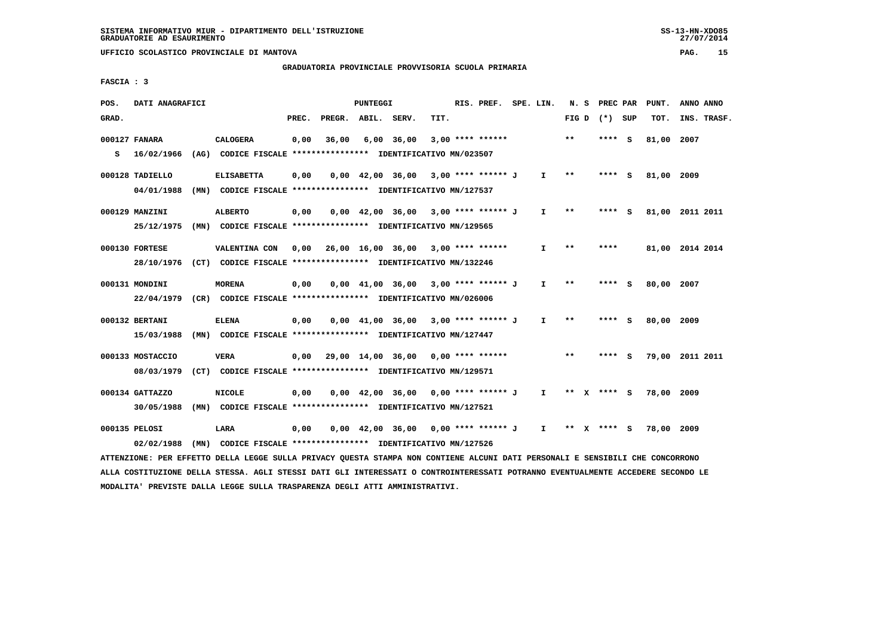# **GRADUATORIA PROVINCIALE PROVVISORIA SCUOLA PRIMARIA**

 **FASCIA : 3**

| POS.  | DATI ANAGRAFICI                                                                                                               |                                                               |       |                                           | PUNTEGGI |                                                                       |      | RIS. PREF. SPE. LIN. |                       |       | N. S PREC PAR   | PUNT.      | ANNO ANNO       |  |
|-------|-------------------------------------------------------------------------------------------------------------------------------|---------------------------------------------------------------|-------|-------------------------------------------|----------|-----------------------------------------------------------------------|------|----------------------|-----------------------|-------|-----------------|------------|-----------------|--|
| GRAD. |                                                                                                                               |                                                               | PREC. | PREGR. ABIL. SERV.                        |          |                                                                       | TIT. |                      |                       |       | FIG D $(*)$ SUP | TOT.       | INS. TRASF.     |  |
|       | 000127 FANARA                                                                                                                 | CALOGERA                                                      | 0,00  | 36,00                                     |          | 6,00 36,00                                                            |      | $3,00$ **** ******   |                       | $**$  | **** S          | 81,00 2007 |                 |  |
|       | S 16/02/1966                                                                                                                  | (AG) CODICE FISCALE **************** IDENTIFICATIVO MN/023507 |       |                                           |          |                                                                       |      |                      |                       |       |                 |            |                 |  |
|       | 000128 TADIELLO                                                                                                               | <b>ELISABETTA</b>                                             | 0,00  |                                           |          | $0.00 \quad 42.00 \quad 36.00 \quad 3.00 \quad *** \quad *** \quad 0$ |      |                      | $I \rightarrow \star$ |       | **** S          | 81,00 2009 |                 |  |
|       | 04/01/1988 (MN) CODICE FISCALE *************** IDENTIFICATIVO MN/127537                                                       |                                                               |       |                                           |          |                                                                       |      |                      |                       |       |                 |            |                 |  |
|       | 000129 MANZINI                                                                                                                | <b>ALBERTO</b>                                                | 0,00  |                                           |          | $0,00$ 42,00 36,00 3,00 **** ****** J                                 |      |                      | $\mathbf{I}$          | $* *$ | **** S          |            | 81,00 2011 2011 |  |
|       | 25/12/1975 (MN) CODICE FISCALE *************** IDENTIFICATIVO MN/129565                                                       |                                                               |       |                                           |          |                                                                       |      |                      |                       |       |                 |            |                 |  |
|       | 000130 FORTESE                                                                                                                | VALENTINA CON                                                 |       | $0.00$ 26.00 16.00 36.00 3.00 **** ****** |          |                                                                       |      |                      | $\mathbf{I}$          | $**$  | ****            |            | 81,00 2014 2014 |  |
|       | 28/10/1976 (CT) CODICE FISCALE *************** IDENTIFICATIVO MN/132246                                                       |                                                               |       |                                           |          |                                                                       |      |                      |                       |       |                 |            |                 |  |
|       | 000131 MONDINI                                                                                                                | <b>MORENA</b>                                                 | 0,00  |                                           |          | $0,00$ 41,00 36,00 3,00 **** ****** J                                 |      |                      | $\mathbf{I}$          | $***$ | **** S          | 80,00 2007 |                 |  |
|       | 22/04/1979 (CR) CODICE FISCALE *************** IDENTIFICATIVO MN/026006                                                       |                                                               |       |                                           |          |                                                                       |      |                      |                       |       |                 |            |                 |  |
|       | 000132 BERTANI                                                                                                                | <b>ELENA</b>                                                  | 0,00  |                                           |          | $0,00$ 41,00 36,00 3,00 **** ****** J I                               |      |                      |                       | $* *$ | $***5$          | 80,00 2009 |                 |  |
|       | 15/03/1988 (MN) CODICE FISCALE *************** IDENTIFICATIVO MN/127447                                                       |                                                               |       |                                           |          |                                                                       |      |                      |                       |       |                 |            |                 |  |
|       | 000133 MOSTACCIO                                                                                                              | <b>VERA</b>                                                   |       | $0,00$ 29,00 14,00 36,00 0,00 **** ****** |          |                                                                       |      |                      |                       | $* *$ | $***$ S         |            | 79,00 2011 2011 |  |
|       | 08/03/1979                                                                                                                    | (CT) CODICE FISCALE **************** IDENTIFICATIVO MN/129571 |       |                                           |          |                                                                       |      |                      |                       |       |                 |            |                 |  |
|       | 000134 GATTAZZO                                                                                                               | <b>NICOLE</b>                                                 | 0,00  |                                           |          | $0,00$ 42,00 36,00 0,00 **** ****** J                                 |      |                      |                       |       | I ** X **** S   | 78,00 2009 |                 |  |
|       | 30/05/1988                                                                                                                    | (MN) CODICE FISCALE **************** IDENTIFICATIVO MN/127521 |       |                                           |          |                                                                       |      |                      |                       |       |                 |            |                 |  |
|       | 000135 PELOSI                                                                                                                 | LARA                                                          | 0,00  |                                           |          | 0,00 42,00 36,00 0,00 **** ****** J I ** X **** S 78,00 2009          |      |                      |                       |       |                 |            |                 |  |
|       | 02/02/1988                                                                                                                    | (MN) CODICE FISCALE **************** IDENTIFICATIVO MN/127526 |       |                                           |          |                                                                       |      |                      |                       |       |                 |            |                 |  |
|       | ATTENZIONE: PER EFFETTO DELLA LEGGE SULLA PRIVACY QUESTA STAMPA NON CONTIENE ALCUNI DATI PERSONALI E SENSIBILI CHE CONCORRONO |                                                               |       |                                           |          |                                                                       |      |                      |                       |       |                 |            |                 |  |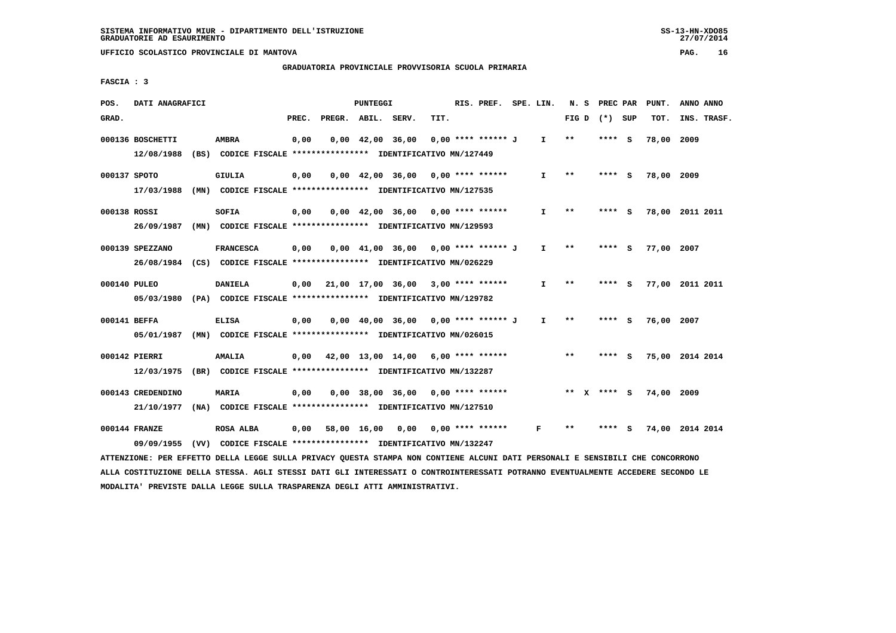# **GRADUATORIA PROVINCIALE PROVVISORIA SCUOLA PRIMARIA**

 **FASCIA : 3**

| POS.         | DATI ANAGRAFICI                                                                                                               |                                                               |       |                                           | PUNTEGGI |                                                                       |      | RIS. PREF. SPE. LIN. |              |       | N. S PREC PAR   | PUNT.      | ANNO ANNO       |
|--------------|-------------------------------------------------------------------------------------------------------------------------------|---------------------------------------------------------------|-------|-------------------------------------------|----------|-----------------------------------------------------------------------|------|----------------------|--------------|-------|-----------------|------------|-----------------|
| GRAD.        |                                                                                                                               |                                                               | PREC. | PREGR. ABIL. SERV.                        |          |                                                                       | TIT. |                      |              |       | FIG D $(*)$ SUP | TOT.       | INS. TRASF.     |
|              | 000136 BOSCHETTI                                                                                                              | <b>AMBRA</b>                                                  | 0,00  |                                           |          | $0,00 \quad 42,00 \quad 36,00$                                        |      | 0,00 **** ****** J   | $\mathbf{I}$ | **    | **** S          | 78,00 2009 |                 |
|              | 12/08/1988                                                                                                                    | (BS) CODICE FISCALE **************** IDENTIFICATIVO MN/127449 |       |                                           |          |                                                                       |      |                      |              |       |                 |            |                 |
|              | 000137 SPOTO                                                                                                                  | <b>GIULIA</b>                                                 | 0,00  |                                           |          | $0,00$ 42,00 36,00 0,00 **** ******                                   |      |                      | $\mathbf{I}$ | $* *$ | **** S          | 78,00 2009 |                 |
|              | 17/03/1988 (MN) CODICE FISCALE *************** IDENTIFICATIVO MN/127535                                                       |                                                               |       |                                           |          |                                                                       |      |                      |              |       |                 |            |                 |
| 000138 ROSSI |                                                                                                                               | SOFIA                                                         | 0,00  |                                           |          | $0,00$ 42,00 36,00 0,00 **** ******                                   |      |                      | I.           | $* *$ | **** S          |            | 78,00 2011 2011 |
|              | 26/09/1987 (MN) CODICE FISCALE *************** IDENTIFICATIVO MN/129593                                                       |                                                               |       |                                           |          |                                                                       |      |                      |              |       |                 |            |                 |
|              | 000139 SPEZZANO                                                                                                               | <b>FRANCESCA</b>                                              | 0,00  |                                           |          | $0.00 \quad 41.00 \quad 36.00 \quad 0.00 \quad *** \quad *** \quad J$ |      |                      | $\mathbf{I}$ | $**$  | $***$ S         | 77,00 2007 |                 |
|              | 26/08/1984 (CS) CODICE FISCALE **************** IDENTIFICATIVO MN/026229                                                      |                                                               |       |                                           |          |                                                                       |      |                      |              |       |                 |            |                 |
|              | 000140 PULEO                                                                                                                  | <b>DANIELA</b>                                                |       | $0,00$ 21,00 17,00 36,00 3,00 **** ****** |          |                                                                       |      |                      | $\mathbf{I}$ | $* *$ | **** S          |            | 77,00 2011 2011 |
|              | 05/03/1980 (PA) CODICE FISCALE *************** IDENTIFICATIVO MN/129782                                                       |                                                               |       |                                           |          |                                                                       |      |                      |              |       |                 |            |                 |
|              | 000141 BEFFA                                                                                                                  | <b>ELISA</b>                                                  | 0,00  |                                           |          | 0,00 40,00 36,00 0,00 **** ****** J                                   |      |                      | $\mathbf{I}$ | $***$ | **** S          | 76,00 2007 |                 |
|              | 05/01/1987 (MN) CODICE FISCALE *************** IDENTIFICATIVO MN/026015                                                       |                                                               |       |                                           |          |                                                                       |      |                      |              |       |                 |            |                 |
|              | 000142 PIERRI                                                                                                                 | <b>AMALIA</b>                                                 |       | $0,00$ 42,00 13,00 14,00 6,00 **** ****** |          |                                                                       |      |                      |              | $***$ | $***$ S         |            | 75,00 2014 2014 |
|              | 12/03/1975 (BR) CODICE FISCALE *************** IDENTIFICATIVO MN/132287                                                       |                                                               |       |                                           |          |                                                                       |      |                      |              |       |                 |            |                 |
|              | 000143 CREDENDINO                                                                                                             | <b>MARIA</b>                                                  | 0,00  |                                           |          | $0,00$ 38,00 36,00 0,00 **** ******                                   |      |                      |              |       | ** x **** S     | 74,00 2009 |                 |
|              | 21/10/1977 (NA) CODICE FISCALE *************** IDENTIFICATIVO MN/127510                                                       |                                                               |       |                                           |          |                                                                       |      |                      |              |       |                 |            |                 |
|              | 000144 FRANZE                                                                                                                 | ROSA ALBA                                                     |       | $0,00$ 58,00 16,00 0,00 0,00 **** ******  |          |                                                                       |      |                      | F            | $* *$ | **** S          |            | 74,00 2014 2014 |
|              | 09/09/1955                                                                                                                    | (VV) CODICE FISCALE **************** IDENTIFICATIVO MN/132247 |       |                                           |          |                                                                       |      |                      |              |       |                 |            |                 |
|              | ATTENZIONE: PER EFFETTO DELLA LEGGE SULLA PRIVACY QUESTA STAMPA NON CONTIENE ALCUNI DATI PERSONALI E SENSIBILI CHE CONCORRONO |                                                               |       |                                           |          |                                                                       |      |                      |              |       |                 |            |                 |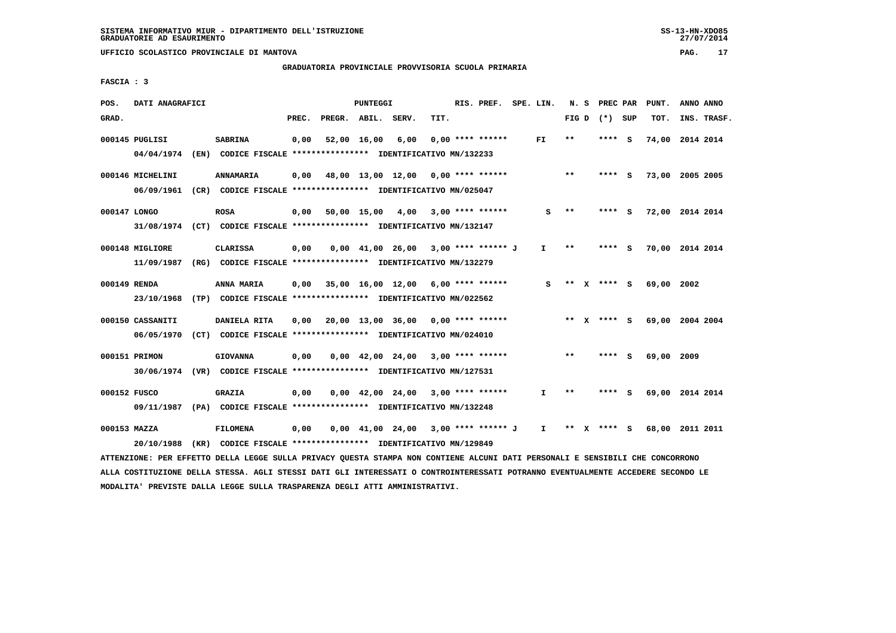# **GRADUATORIA PROVINCIALE PROVVISORIA SCUOLA PRIMARIA**

 **FASCIA : 3**

| POS.         | DATI ANAGRAFICI  |                                                                                                                               |       |                                           | PUNTEGGI |                                                                                |      | RIS. PREF. SPE. LIN. |     |       | N. S PREC PAR   | PUNT.                       | ANNO ANNO   |
|--------------|------------------|-------------------------------------------------------------------------------------------------------------------------------|-------|-------------------------------------------|----------|--------------------------------------------------------------------------------|------|----------------------|-----|-------|-----------------|-----------------------------|-------------|
| GRAD.        |                  |                                                                                                                               | PREC. | PREGR. ABIL. SERV.                        |          |                                                                                | TIT. |                      |     |       | FIG D $(*)$ SUP | TOT.                        | INS. TRASF. |
|              | 000145 PUGLISI   | <b>SABRINA</b>                                                                                                                | 0,00  |                                           |          | 52,00 16,00 6,00                                                               |      | $0.00$ **** ******   | FI. | $* *$ | **** S          | 74,00 2014 2014             |             |
|              |                  | 04/04/1974 (EN) CODICE FISCALE *************** IDENTIFICATIVO MN/132233                                                       |       |                                           |          |                                                                                |      |                      |     |       |                 |                             |             |
|              | 000146 MICHELINI | <b>ANNAMARIA</b>                                                                                                              |       | $0,00$ 48,00 13,00 12,00 0,00 **** ****** |          |                                                                                |      |                      |     | $***$ | **** S          | 73,00 2005 2005             |             |
|              |                  | 06/09/1961 (CR) CODICE FISCALE *************** IDENTIFICATIVO MN/025047                                                       |       |                                           |          |                                                                                |      |                      |     |       |                 |                             |             |
| 000147 LONGO |                  | <b>ROSA</b>                                                                                                                   |       | $0,00$ 50,00 15,00 4,00 3,00 **** ******  |          |                                                                                |      |                      | s   | $***$ | **** S          | 72,00 2014 2014             |             |
|              |                  | 31/08/1974 (CT) CODICE FISCALE *************** IDENTIFICATIVO MN/132147                                                       |       |                                           |          |                                                                                |      |                      |     |       |                 |                             |             |
|              | 000148 MIGLIORE  | <b>CLARISSA</b>                                                                                                               | 0,00  |                                           |          | $0.00 \quad 41.00 \quad 26.00 \quad 3.00 \quad *** \quad *** \quad J$          |      |                      | I.  | **    | **** S          | 70,00 2014 2014             |             |
|              |                  | 11/09/1987 (RG) CODICE FISCALE *************** IDENTIFICATIVO MN/132279                                                       |       |                                           |          |                                                                                |      |                      |     |       |                 |                             |             |
|              | 000149 RENDA     | ANNA MARIA                                                                                                                    |       | $0.00$ 35.00 16.00 12.00 6.00 **** ****** |          |                                                                                |      |                      | s   |       |                 | ** x **** s 69,00 2002      |             |
|              |                  | 23/10/1968 (TP) CODICE FISCALE *************** IDENTIFICATIVO MN/022562                                                       |       |                                           |          |                                                                                |      |                      |     |       |                 |                             |             |
|              | 000150 CASSANITI | <b>DANIELA RITA</b>                                                                                                           |       |                                           |          |                                                                                |      |                      |     |       | ** x **** S     | 69,00 2004 2004             |             |
|              |                  | 06/05/1970 (CT) CODICE FISCALE *************** IDENTIFICATIVO MN/024010                                                       |       |                                           |          |                                                                                |      |                      |     |       |                 |                             |             |
|              | 000151 PRIMON    | <b>GIOVANNA</b>                                                                                                               | 0,00  |                                           |          | $0.00 \quad 42.00 \quad 24.00 \quad 3.00 \quad *** \quad ***$                  |      |                      |     | **    | **** S          | 69,00 2009                  |             |
|              |                  | 30/06/1974 (VR) CODICE FISCALE *************** IDENTIFICATIVO MN/127531                                                       |       |                                           |          |                                                                                |      |                      |     |       |                 |                             |             |
| 000152 FUSCO |                  | <b>GRAZIA</b>                                                                                                                 | 0,00  |                                           |          | $0.00 \quad 42.00 \quad 24.00 \quad 3.00 \quad *** \quad ***}$                 |      |                      | I.  | $* *$ | **** S          | 69,00 2014 2014             |             |
|              |                  | 09/11/1987 (PA) CODICE FISCALE *************** IDENTIFICATIVO MN/132248                                                       |       |                                           |          |                                                                                |      |                      |     |       |                 |                             |             |
|              | 000153 MAZZA     | <b>FILOMENA</b>                                                                                                               | 0,00  |                                           |          | $0.00 \quad 41.00 \quad 24.00 \quad 3.00 \quad *** \quad *** \quad J \qquad I$ |      |                      |     |       |                 | ** X **** S 68,00 2011 2011 |             |
|              | 20/10/1988       | (KR) CODICE FISCALE **************** IDENTIFICATIVO MN/129849                                                                 |       |                                           |          |                                                                                |      |                      |     |       |                 |                             |             |
|              |                  | ATTENZIONE: PER EFFETTO DELLA LEGGE SULLA PRIVACY QUESTA STAMPA NON CONTIENE ALCUNI DATI PERSONALI E SENSIBILI CHE CONCORRONO |       |                                           |          |                                                                                |      |                      |     |       |                 |                             |             |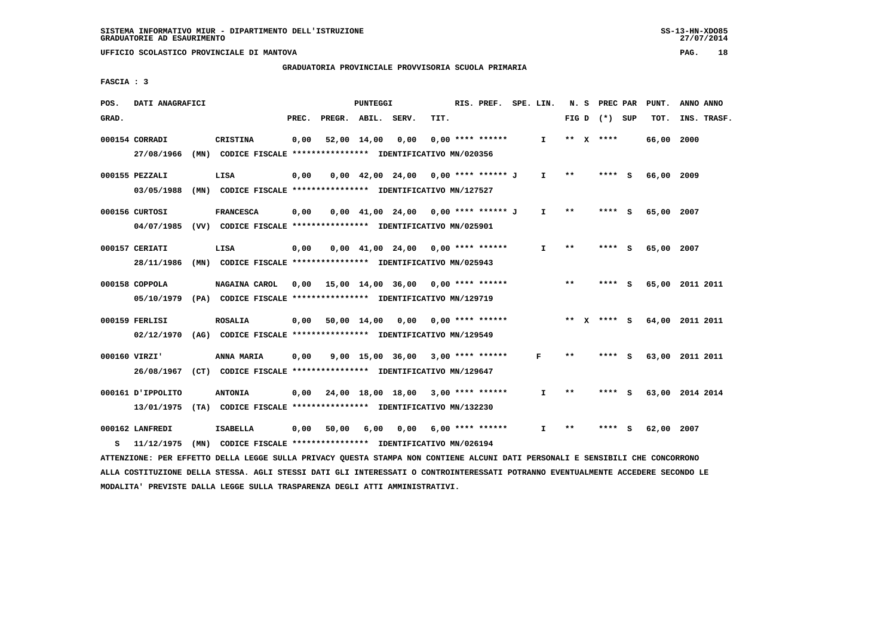# **GRADUATORIA PROVINCIALE PROVVISORIA SCUOLA PRIMARIA**

 **FASCIA : 3**

| POS.  | DATI ANAGRAFICI                                                                                                               |                                                               |       |                    | PUNTEGGI |                                                                     |      | RIS. PREF. SPE. LIN. |                   |              | N. S PREC PAR   | PUNT.      | ANNO ANNO                   |
|-------|-------------------------------------------------------------------------------------------------------------------------------|---------------------------------------------------------------|-------|--------------------|----------|---------------------------------------------------------------------|------|----------------------|-------------------|--------------|-----------------|------------|-----------------------------|
| GRAD. |                                                                                                                               |                                                               | PREC. | PREGR. ABIL. SERV. |          |                                                                     | TIT. |                      |                   |              | FIG D $(*)$ SUP | TOT.       | INS. TRASF.                 |
|       | 000154 CORRADI                                                                                                                | <b>CRISTINA</b>                                               | 0,00  |                    |          | 52,00 14,00 0,00                                                    |      | $0.00$ **** ******   | I.                |              | ** $X$ ****     | 66,00 2000 |                             |
|       | 27/08/1966                                                                                                                    | (MN) CODICE FISCALE *************** IDENTIFICATIVO MN/020356  |       |                    |          |                                                                     |      |                      |                   |              |                 |            |                             |
|       | 000155 PEZZALI                                                                                                                | LISA                                                          | 0,00  |                    |          | $0,00$ 42,00 24,00 0,00 **** ****** J                               |      |                      | $I \quad * \quad$ |              | $***$ S         | 66,00 2009 |                             |
|       | 03/05/1988 (MN) CODICE FISCALE *************** IDENTIFICATIVO MN/127527                                                       |                                                               |       |                    |          |                                                                     |      |                      |                   |              |                 |            |                             |
|       | 000156 CURTOSI                                                                                                                | <b>FRANCESCA</b>                                              | 0,00  |                    |          | $0.00 \quad 41.00 \quad 24.00 \quad 0.00 \quad *** \quad *** \quad$ |      |                      | $\mathbf{I}$      | $* *$        | **** S          | 65,00 2007 |                             |
|       | 04/07/1985 (VV) CODICE FISCALE *************** IDENTIFICATIVO MN/025901                                                       |                                                               |       |                    |          |                                                                     |      |                      |                   |              |                 |            |                             |
|       | 000157 CERIATI                                                                                                                | LISA                                                          | 0,00  |                    |          | $0.00 \quad 41.00 \quad 24.00 \quad 0.00 \quad *** \quad ***$       |      |                      | Ι.                | $* *$        | **** S          | 65,00 2007 |                             |
|       | 28/11/1986 (MN) CODICE FISCALE *************** IDENTIFICATIVO MN/025943                                                       |                                                               |       |                    |          |                                                                     |      |                      |                   |              |                 |            |                             |
|       | 000158 COPPOLA                                                                                                                | NAGAINA CAROL                                                 |       |                    |          | 0,00 $15,00$ $14,00$ $36,00$ $0,00$ $***$ **** *****                |      |                      |                   | $***$        | **** S          |            | 65,00 2011 2011             |
|       | 05/10/1979 (PA) CODICE FISCALE *************** IDENTIFICATIVO MN/129719                                                       |                                                               |       |                    |          |                                                                     |      |                      |                   |              |                 |            |                             |
|       | 000159 FERLISI                                                                                                                | <b>ROSALIA</b>                                                |       |                    |          | $0,00$ 50,00 14,00 0,00 0,00 **** ******                            |      |                      |                   |              |                 |            | ** X **** S 64,00 2011 2011 |
|       | 02/12/1970 (AG) CODICE FISCALE *************** IDENTIFICATIVO MN/129549                                                       |                                                               |       |                    |          |                                                                     |      |                      |                   |              |                 |            |                             |
|       | 000160 VIRZI'                                                                                                                 | ANNA MARIA                                                    | 0,00  |                    |          | $9,00$ 15,00 36,00 3,00 **** ******                                 |      |                      | F                 | $* *$        | **** S          |            | 63,00 2011 2011             |
|       | 26/08/1967 (CT) CODICE FISCALE *************** IDENTIFICATIVO MN/129647                                                       |                                                               |       |                    |          |                                                                     |      |                      |                   |              |                 |            |                             |
|       | 000161 J'IPPOLITO                                                                                                             | <b>ANTONIA</b>                                                |       |                    |          | $0.00$ 24.00 18.00 18.00 3.00 **** ******                           |      |                      | I.                | $***$        | **** S          |            | 63,00 2014 2014             |
|       | 13/01/1975 (TA) CODICE FISCALE **************** IDENTIFICATIVO MN/132230                                                      |                                                               |       |                    |          |                                                                     |      |                      |                   |              |                 |            |                             |
|       | 000162 LANFREDI                                                                                                               | <b>ISABELLA</b>                                               | 0,00  | 50,00              | 6,00     | 0,00 6,00 **** ******                                               |      |                      | I.                | $\star\star$ | **** S          | 62,00 2007 |                             |
| s     | 11/12/1975                                                                                                                    | (MN) CODICE FISCALE **************** IDENTIFICATIVO MN/026194 |       |                    |          |                                                                     |      |                      |                   |              |                 |            |                             |
|       | ATTENZIONE: PER EFFETTO DELLA LEGGE SULLA PRIVACY OUESTA STAMPA NON CONTIENE ALCUNI DATI PERSONALI E SENSIBILI CHE CONCORRONO |                                                               |       |                    |          |                                                                     |      |                      |                   |              |                 |            |                             |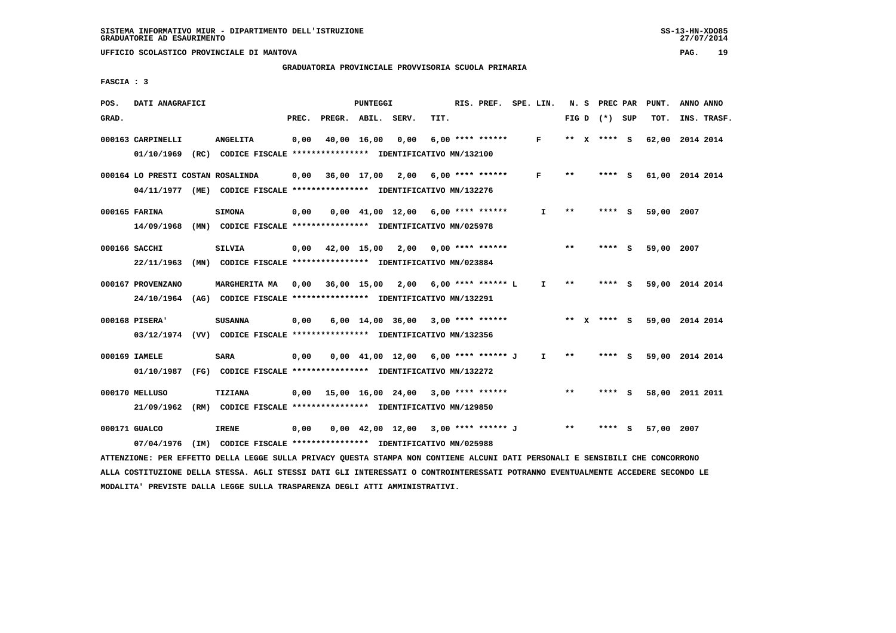#### **GRADUATORIA PROVINCIALE PROVVISORIA SCUOLA PRIMARIA**

 **FASCIA : 3**

| POS.  | DATI ANAGRAFICI                                                                                                               |                                                               |       |                                                        | PUNTEGGI |                                                                     |      | RIS. PREF. SPE. LIN. |              |               | N. S PREC PAR   | PUNT.           | ANNO ANNO |             |
|-------|-------------------------------------------------------------------------------------------------------------------------------|---------------------------------------------------------------|-------|--------------------------------------------------------|----------|---------------------------------------------------------------------|------|----------------------|--------------|---------------|-----------------|-----------------|-----------|-------------|
| GRAD. |                                                                                                                               |                                                               | PREC. | PREGR. ABIL. SERV.                                     |          |                                                                     | TIT. |                      |              |               | FIG D $(*)$ SUP | TOT.            |           | INS. TRASF. |
|       | 000163 CARPINELLI                                                                                                             | <b>ANGELITA</b>                                               | 0,00  |                                                        |          | 40,00 16,00 0,00                                                    |      | $6,00$ **** ******   | $\mathbf{F}$ |               | ** X **** S     | 62,00 2014 2014 |           |             |
|       | 01/10/1969 (RC) CODICE FISCALE *************** IDENTIFICATIVO MN/132100                                                       |                                                               |       |                                                        |          |                                                                     |      |                      |              |               |                 |                 |           |             |
|       | 000164 LO PRESTI COSTAN ROSALINDA                                                                                             |                                                               |       | $0,00$ $36,00$ $17,00$ $2,00$ $6,00$ $***$ **** ****** |          |                                                                     |      |                      | F            | $***$         | **** S          | 61,00 2014 2014 |           |             |
|       | 04/11/1977 (ME) CODICE FISCALE *************** IDENTIFICATIVO MN/132276                                                       |                                                               |       |                                                        |          |                                                                     |      |                      |              |               |                 |                 |           |             |
|       | 000165 FARINA                                                                                                                 | <b>SIMONA</b>                                                 | 0,00  |                                                        |          | $0,00$ 41,00 12,00 6,00 **** ******                                 |      |                      | $\mathbf{I}$ | $***$         | **** S          | 59,00 2007      |           |             |
|       | 14/09/1968 (MN) CODICE FISCALE *************** IDENTIFICATIVO MN/025978                                                       |                                                               |       |                                                        |          |                                                                     |      |                      |              |               |                 |                 |           |             |
|       | 000166 SACCHI                                                                                                                 | <b>SILVIA</b>                                                 |       | $0,00$ 42,00 15,00 2,00 0,00 **** ******               |          |                                                                     |      |                      |              | **            | **** S          | 59,00 2007      |           |             |
|       | 22/11/1963                                                                                                                    | (MN) CODICE FISCALE **************** IDENTIFICATIVO MN/023884 |       |                                                        |          |                                                                     |      |                      |              |               |                 |                 |           |             |
|       | 000167 PROVENZANO                                                                                                             | <b>MARGHERITA MA</b>                                          |       | 0,00 36,00 15,00 2,00 6,00 **** ****** L               |          |                                                                     |      |                      | $\mathbf{I}$ | $\star \star$ | **** S          | 59,00 2014 2014 |           |             |
|       | 24/10/1964 (AG) CODICE FISCALE **************** IDENTIFICATIVO MN/132291                                                      |                                                               |       |                                                        |          |                                                                     |      |                      |              |               |                 |                 |           |             |
|       | 000168 PISERA'                                                                                                                | <b>SUSANNA</b>                                                | 0,00  |                                                        |          | $6,00$ 14,00 36,00 3,00 **** ******                                 |      |                      |              |               | ** x **** s     | 59,00 2014 2014 |           |             |
|       | 03/12/1974 (VV) CODICE FISCALE *************** IDENTIFICATIVO MN/132356                                                       |                                                               |       |                                                        |          |                                                                     |      |                      |              |               |                 |                 |           |             |
|       | 000169 IAMELE                                                                                                                 | <b>SARA</b>                                                   | 0,00  |                                                        |          | $0.00 \quad 41.00 \quad 12.00 \quad 6.00 \quad *** \quad *** \quad$ |      |                      | $\mathbf{I}$ | $***$         | **** S          | 59,00 2014 2014 |           |             |
|       | 01/10/1987 (FG) CODICE FISCALE *************** IDENTIFICATIVO MN/132272                                                       |                                                               |       |                                                        |          |                                                                     |      |                      |              |               |                 |                 |           |             |
|       | 000170 MELLUSO                                                                                                                | <b>TIZIANA</b>                                                |       | $0.00$ 15.00 16.00 24.00 3.00 **** ******              |          |                                                                     |      |                      |              | $* *$         | **** S          | 58,00 2011 2011 |           |             |
|       | 21/09/1962 (RM) CODICE FISCALE **************** IDENTIFICATIVO MN/129850                                                      |                                                               |       |                                                        |          |                                                                     |      |                      |              |               |                 |                 |           |             |
|       | 000171 GUALCO                                                                                                                 | <b>IRENE</b>                                                  | 0,00  |                                                        |          | 0,00 42,00 12,00 3,00 **** ****** J                                 |      |                      |              | $***$         | $***$ S         | 57,00 2007      |           |             |
|       | 07/04/1976                                                                                                                    | (IM) CODICE FISCALE **************** IDENTIFICATIVO MN/025988 |       |                                                        |          |                                                                     |      |                      |              |               |                 |                 |           |             |
|       | ATTENZIONE: PER EFFETTO DELLA LEGGE SULLA PRIVACY QUESTA STAMPA NON CONTIENE ALCUNI DATI PERSONALI E SENSIBILI CHE CONCORRONO |                                                               |       |                                                        |          |                                                                     |      |                      |              |               |                 |                 |           |             |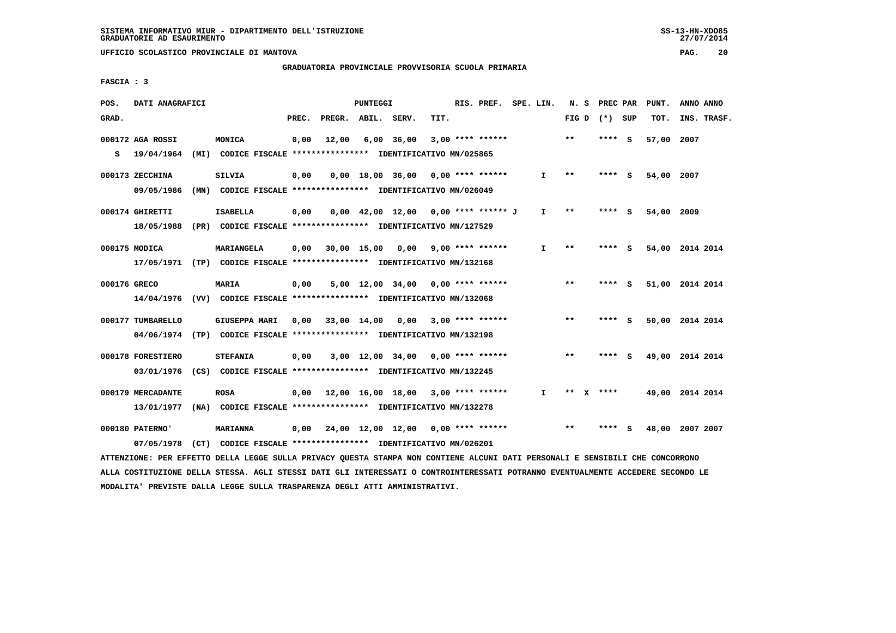$27/07/2014$ 

 **UFFICIO SCOLASTICO PROVINCIALE DI MANTOVA PAG. 20**

# **GRADUATORIA PROVINCIALE PROVVISORIA SCUOLA PRIMARIA**

 **FASCIA : 3**

| POS.         | DATI ANAGRAFICI   |                                                                                                                               |       |                    | PUNTEGGI |                                           |      | RIS. PREF. SPE. LIN.    |              |       | N. S PREC PAR   | PUNT.      | ANNO ANNO       |
|--------------|-------------------|-------------------------------------------------------------------------------------------------------------------------------|-------|--------------------|----------|-------------------------------------------|------|-------------------------|--------------|-------|-----------------|------------|-----------------|
| GRAD.        |                   |                                                                                                                               | PREC. |                    |          | PREGR. ABIL. SERV.                        | TIT. |                         |              |       | FIG D $(*)$ SUP | TOT.       | INS. TRASF.     |
|              | 000172 AGA ROSSI  | MONICA                                                                                                                        | 0,00  | 12,00              |          | $6,00$ 36,00                              |      | $3,00$ **** ******      |              | $* *$ | **** S          | 57,00 2007 |                 |
| s            | 19/04/1964        | (MI) CODICE FISCALE **************** IDENTIFICATIVO MN/025865                                                                 |       |                    |          |                                           |      |                         |              |       |                 |            |                 |
|              | 000173 ZECCHINA   | <b>SILVIA</b>                                                                                                                 | 0,00  |                    |          | $0,00$ 18,00 36,00 0,00 **** ******       |      |                         | $\mathbf{I}$ | $***$ | **** S          | 54,00 2007 |                 |
|              | 09/05/1986        | (MN) CODICE FISCALE **************** IDENTIFICATIVO MN/026049                                                                 |       |                    |          |                                           |      |                         |              |       |                 |            |                 |
|              | 000174 GHIRETTI   | <b>ISABELLA</b>                                                                                                               | 0,00  |                    |          | $0,00$ 42,00 12,00 0,00 **** ****** J     |      |                         | I.           | $* *$ | $***$ S         | 54,00 2009 |                 |
|              |                   | 18/05/1988 (PR) CODICE FISCALE *************** IDENTIFICATIVO MN/127529                                                       |       |                    |          |                                           |      |                         |              |       |                 |            |                 |
|              | 000175 MODICA     | MARIANGELA                                                                                                                    | 0,00  |                    |          | 30,00 15,00 0,00                          |      | $9,00$ **** ******      | I.           | $***$ | **** S          |            | 54,00 2014 2014 |
|              |                   | 17/05/1971 (TP) CODICE FISCALE *************** IDENTIFICATIVO MN/132168                                                       |       |                    |          |                                           |      |                         |              |       |                 |            |                 |
| 000176 GRECO |                   | MARIA                                                                                                                         | 0,00  |                    |          | $5,00$ 12,00 34,00 0,00 **** ******       |      |                         |              | $***$ | **** S          |            | 51,00 2014 2014 |
|              |                   | 14/04/1976 (VV) CODICE FISCALE **************** IDENTIFICATIVO MN/132068                                                      |       |                    |          |                                           |      |                         |              |       |                 |            |                 |
|              | 000177 TUMBARELLO | <b>GIUSEPPA MARI</b>                                                                                                          |       | $0.00$ 33,00 14,00 |          |                                           |      | $0,00$ 3,00 **** ****** |              | $* *$ | **** S          |            | 50,00 2014 2014 |
|              |                   | 04/06/1974 (TP) CODICE FISCALE *************** IDENTIFICATIVO MN/132198                                                       |       |                    |          |                                           |      |                         |              |       |                 |            |                 |
|              | 000178 FORESTIERO | <b>STEFANIA</b>                                                                                                               | 0,00  |                    |          | 3,00 12,00 34,00                          |      | $0.00$ **** ******      |              | $* *$ | **** S          |            | 49,00 2014 2014 |
|              |                   | 03/01/1976 (CS) CODICE FISCALE *************** IDENTIFICATIVO MN/132245                                                       |       |                    |          |                                           |      |                         |              |       |                 |            |                 |
|              | 000179 MERCADANTE | <b>ROSA</b>                                                                                                                   |       |                    |          | $0,00$ 12,00 16,00 18,00 3,00 **** ****** |      |                         | $\mathbf{I}$ |       | ** X ****       |            | 49,00 2014 2014 |
|              | 13/01/1977        | (NA) CODICE FISCALE **************** IDENTIFICATIVO MN/132278                                                                 |       |                    |          |                                           |      |                         |              |       |                 |            |                 |
|              | 000180 PATERNO'   | <b>MARIANNA</b>                                                                                                               | 0,00  |                    |          | 24,00 12,00 12,00 0,00 **** ******        |      |                         |              | $* *$ | **** S          |            | 48,00 2007 2007 |
|              | 07/05/1978        | (CT) CODICE FISCALE **************** IDENTIFICATIVO MN/026201                                                                 |       |                    |          |                                           |      |                         |              |       |                 |            |                 |
|              |                   | ATTENZIONE: PER EFFETTO DELLA LEGGE SULLA PRIVACY QUESTA STAMPA NON CONTIENE ALCUNI DATI PERSONALI E SENSIBILI CHE CONCORRONO |       |                    |          |                                           |      |                         |              |       |                 |            |                 |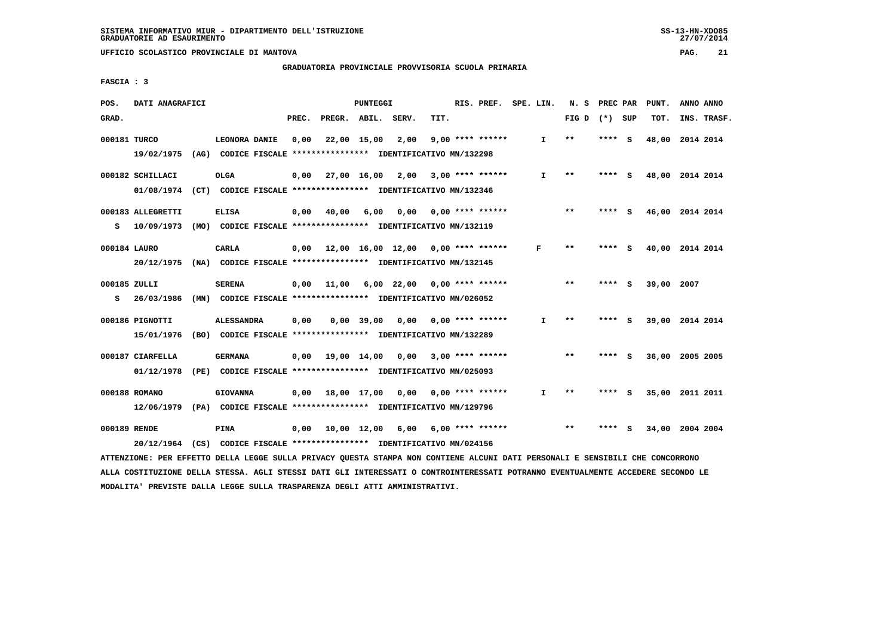# **GRADUATORIA PROVINCIALE PROVVISORIA SCUOLA PRIMARIA**

 **FASCIA : 3**

| POS.         | DATI ANAGRAFICI                                                                                                               |                   |       |                    | PUNTEGGI     |                                                               |      | RIS. PREF. SPE. LIN. |              |                 | N. S PREC PAR |     | PUNT.           | ANNO ANNO |             |
|--------------|-------------------------------------------------------------------------------------------------------------------------------|-------------------|-------|--------------------|--------------|---------------------------------------------------------------|------|----------------------|--------------|-----------------|---------------|-----|-----------------|-----------|-------------|
| GRAD.        |                                                                                                                               |                   | PREC. |                    |              | PREGR. ABIL. SERV.                                            | TIT. |                      |              | FIG D $(*)$ SUP |               |     | TOT.            |           | INS. TRASF. |
| 000181 TURCO |                                                                                                                               | LEONORA DANIE     | 0,00  | 22,00 15,00        |              | 2,00                                                          |      | $9,00$ **** ******   | $\mathbf{I}$ | $* *$           | **** S        |     | 48,00 2014 2014 |           |             |
|              | 19/02/1975                                                                                                                    |                   |       |                    |              | (AG) CODICE FISCALE **************** IDENTIFICATIVO MN/132298 |      |                      |              |                 |               |     |                 |           |             |
|              | 000182 SCHILLACI                                                                                                              | <b>OLGA</b>       | 0.00  | 27,00 16,00        |              | 2,00                                                          |      | $3,00$ **** ******   | $\mathbf{I}$ | $* *$           | **** S        |     | 48,00 2014 2014 |           |             |
|              | 01/08/1974 (CT) CODICE FISCALE *************** IDENTIFICATIVO MN/132346                                                       |                   |       |                    |              |                                                               |      |                      |              |                 |               |     |                 |           |             |
|              | 000183 ALLEGRETTI                                                                                                             | <b>ELISA</b>      | 0,00  | 40,00              | 6,00         | 0.00                                                          |      | $0.00$ **** ******   |              | $**$            | **** S        |     | 46,00 2014 2014 |           |             |
| s            | 10/09/1973                                                                                                                    |                   |       |                    |              | (MO) CODICE FISCALE **************** IDENTIFICATIVO MN/132119 |      |                      |              |                 |               |     |                 |           |             |
| 000184 LAURO |                                                                                                                               | <b>CARLA</b>      |       |                    |              | $0.00$ 12.00 16.00 12.00 0.00 **** ******                     |      |                      | F            | $**$            | **** S        |     | 40,00 2014 2014 |           |             |
|              | 20/12/1975 (NA) CODICE FISCALE *************** IDENTIFICATIVO MN/132145                                                       |                   |       |                    |              |                                                               |      |                      |              |                 |               |     |                 |           |             |
| 000185 ZULLI |                                                                                                                               | <b>SERENA</b>     |       |                    |              | $0,00$ 11,00 6,00 22,00 0,00 **** ******                      |      |                      |              | $***$           | **** S        |     | 39,00 2007      |           |             |
| s            | 26/03/1986                                                                                                                    |                   |       |                    |              | (MN) CODICE FISCALE **************** IDENTIFICATIVO MN/026052 |      |                      |              |                 |               |     |                 |           |             |
|              | 000186 PIGNOTTI                                                                                                               | <b>ALESSANDRA</b> | 0,00  |                    | $0.00$ 39.00 | 0,00                                                          |      | $0.00$ **** ******   | $\mathbf{I}$ | **              | **** S        |     | 39,00 2014 2014 |           |             |
|              | 15/01/1976                                                                                                                    |                   |       |                    |              | (BO) CODICE FISCALE *************** IDENTIFICATIVO MN/132289  |      |                      |              |                 |               |     |                 |           |             |
|              | 000187 CIARFELLA                                                                                                              | <b>GERMANA</b>    |       | $0.00$ 19.00 14.00 |              | 0,00                                                          |      | $3.00*********$      |              | $* *$           | **** S        |     | 36,00           | 2005 2005 |             |
|              | 01/12/1978                                                                                                                    |                   |       |                    |              | (PE) CODICE FISCALE **************** IDENTIFICATIVO MN/025093 |      |                      |              |                 |               |     |                 |           |             |
|              | 000188 ROMANO                                                                                                                 | <b>GIOVANNA</b>   |       | $0,00$ 18,00 17,00 |              |                                                               |      |                      | $\mathbf{I}$ | $**$            | **** S        |     | 35,00 2011 2011 |           |             |
|              | 12/06/1979 (PA) CODICE FISCALE **************** IDENTIFICATIVO MN/129796                                                      |                   |       |                    |              |                                                               |      |                      |              |                 |               |     |                 |           |             |
| 000189 RENDE |                                                                                                                               | PINA              | 0,00  | 10,00 12,00        |              | 6,00                                                          |      | 6,00 **** ******     |              | $***$           | ****          | - S | 34,00 2004 2004 |           |             |
|              | 20/12/1964                                                                                                                    |                   |       |                    |              | (CS) CODICE FISCALE *************** IDENTIFICATIVO MN/024156  |      |                      |              |                 |               |     |                 |           |             |
|              | ATTENZIONE: PER EFFETTO DELLA LEGGE SULLA PRIVACY QUESTA STAMPA NON CONTIENE ALCUNI DATI PERSONALI E SENSIBILI CHE CONCORRONO |                   |       |                    |              |                                                               |      |                      |              |                 |               |     |                 |           |             |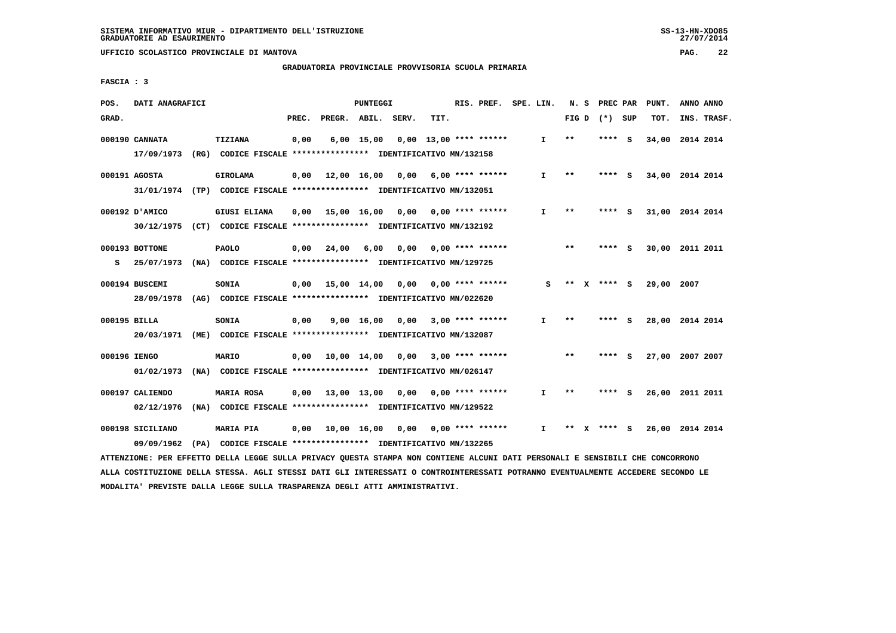**GRADUATORIA PROVINCIALE PROVVISORIA SCUOLA PRIMARIA**

 **FASCIA : 3**

| POS.         | DATI ANAGRAFICI                                                                           |                     |       |                        | PUNTEGGI     |                                                                       |      | RIS. PREF.                | SPE. LIN.    |       | N. S PREC PAR   | PUNT.           | ANNO ANNO |             |
|--------------|-------------------------------------------------------------------------------------------|---------------------|-------|------------------------|--------------|-----------------------------------------------------------------------|------|---------------------------|--------------|-------|-----------------|-----------------|-----------|-------------|
| GRAD.        |                                                                                           |                     | PREC. |                        |              | PREGR. ABIL. SERV.                                                    | TIT. |                           |              |       | FIG D $(*)$ SUP | TOT.            |           | INS. TRASF. |
|              | 000190 CANNATA<br>17/09/1973 (RG) CODICE FISCALE *************** IDENTIFICATIVO MN/132158 | TIZIANA             | 0,00  |                        | $6,00$ 15,00 |                                                                       |      | $0.00$ 13.00 **** ******  | $\mathbf{I}$ | $* *$ | **** S          | 34,00           | 2014 2014 |             |
|              | 000191 AGOSTA<br>31/01/1974 (TP) CODICE FISCALE *************** IDENTIFICATIVO MN/132051  | <b>GIROLAMA</b>     |       |                        |              | $0,00$ 12,00 16,00 0,00 6,00 **** ******                              |      |                           | $\mathbf{I}$ | $* *$ | **** S          | 34,00 2014 2014 |           |             |
|              | 000192 D'AMICO<br>30/12/1975 (CT) CODICE FISCALE *************** IDENTIFICATIVO MN/132192 | <b>GIUSI ELIANA</b> |       | $0,00$ 15,00 16,00     |              |                                                                       |      | $0,00$ $0,00$ **** ****** | $\mathbf{I}$ | $* *$ | **** S          | 31,00 2014 2014 |           |             |
| s            | 000193 BOTTONE<br>25/07/1973                                                              | <b>PAOLO</b>        | 0,00  | 24,00                  | 6,00         | 0,00<br>(NA) CODICE FISCALE *************** IDENTIFICATIVO MN/129725  |      | $0.00$ **** ******        |              | $* *$ | **** S          | 30,00 2011 2011 |           |             |
|              | 000194 BUSCEMI<br>28/09/1978 (AG) CODICE FISCALE *************** IDENTIFICATIVO MN/022620 | SONIA               |       | $0,00$ 15,00 14,00     |              | 0,00                                                                  |      | $0.00$ **** ******        | s            |       | ** $X$ **** S   | 29,00           | 2007      |             |
| 000195 BILLA | 20/03/1971                                                                                | SONIA               | 0,00  |                        | 9,00 16,00   | 0,00<br>(ME) CODICE FISCALE **************** IDENTIFICATIVO MN/132087 |      | $3,00$ **** ******        | $\mathbf{I}$ | $* *$ | **** S          | 28,00 2014 2014 |           |             |
| 000196 IENGO | 01/02/1973                                                                                | <b>MARIO</b>        |       | $0,00$ $10,00$ $14,00$ |              | 0,00<br>(NA) CODICE FISCALE **************** IDENTIFICATIVO MN/026147 |      | $3,00$ **** ******        |              | $***$ | **** S          | 27,00 2007 2007 |           |             |
|              | 000197 CALIENDO<br>02/12/1976                                                             | MARIA ROSA          |       | $0,00$ 13,00 13,00     |              | 0,00<br>(NA) CODICE FISCALE **************** IDENTIFICATIVO MN/129522 |      | $0.00$ **** ******        | I.           | **    | **** S          | 26,00           | 2011 2011 |             |
|              | 000198 SICILIANO<br>09/09/1962                                                            | <b>MARIA PIA</b>    |       | 0,00 10,00 16,00       |              | 0,00<br>(PA) CODICE FISCALE *************** IDENTIFICATIVO MN/132265  |      | $0,00$ **** ******        | $\mathbf{I}$ | $* *$ | **** S          | 26,00 2014 2014 |           |             |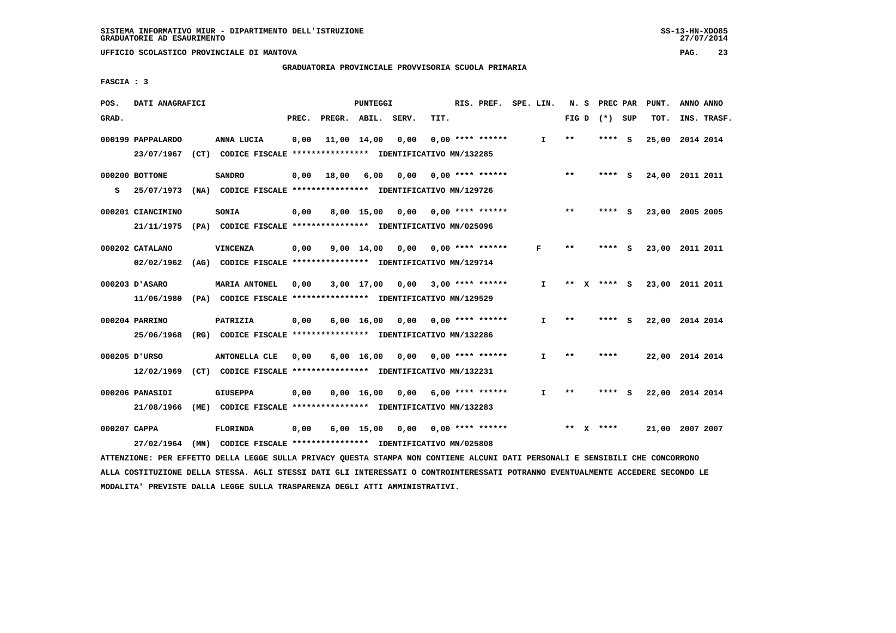**GRADUATORIA PROVINCIALE PROVVISORIA SCUOLA PRIMARIA**

 **FASCIA : 3**

| POS.         | DATI ANAGRAFICI   |                                                                                                                               |       |                    | <b>PUNTEGGI</b>    |                     |      | RIS. PREF.                | SPE. LIN. |              |       | N. S PREC PAR   |     | PUNT.           | ANNO ANNO |             |
|--------------|-------------------|-------------------------------------------------------------------------------------------------------------------------------|-------|--------------------|--------------------|---------------------|------|---------------------------|-----------|--------------|-------|-----------------|-----|-----------------|-----------|-------------|
| GRAD.        |                   |                                                                                                                               | PREC. | PREGR. ABIL. SERV. |                    |                     | TIT. |                           |           |              |       | FIG D $(*)$ SUP |     | TOT.            |           | INS. TRASF. |
|              | 000199 PAPPALARDO | ANNA LUCIA                                                                                                                    | 0,00  |                    | 11,00 14,00        | 0,00                |      | $0.00$ **** ******        |           | I.           | $* *$ | ****            | - S | 25,00 2014 2014 |           |             |
|              | 23/07/1967        | (CT) CODICE FISCALE **************** IDENTIFICATIVO MN/132285                                                                 |       |                    |                    |                     |      |                           |           |              |       |                 |     |                 |           |             |
|              | 000200 BOTTONE    | <b>SANDRO</b>                                                                                                                 | 0,00  | 18,00              | 6,00               | 0,00                |      | $0.00$ **** ******        |           |              | $* *$ | ****            | - S | 24,00           | 2011 2011 |             |
| s            | 25/07/1973        | (NA) CODICE FISCALE **************** IDENTIFICATIVO MN/129726                                                                 |       |                    |                    |                     |      |                           |           |              |       |                 |     |                 |           |             |
|              | 000201 CIANCIMINO | SONIA                                                                                                                         | 0,00  |                    | 8,00 15,00         |                     |      | $0,00$ $0,00$ **** ****** |           |              | **    | **** S          |     | 23,00 2005 2005 |           |             |
|              | 21/11/1975        | (PA) CODICE FISCALE **************** IDENTIFICATIVO MN/025096                                                                 |       |                    |                    |                     |      |                           |           |              |       |                 |     |                 |           |             |
|              |                   |                                                                                                                               |       |                    |                    |                     |      |                           |           |              |       |                 |     |                 |           |             |
|              | 000202 CATALANO   | <b>VINCENZA</b>                                                                                                               | 0,00  |                    |                    | $9,00$ $14,00$ 0,00 |      | $0.00$ **** ******        |           | F            | $* *$ | ****            | - S | 23,00 2011 2011 |           |             |
|              | 02/02/1962        | (AG) CODICE FISCALE **************** IDENTIFICATIVO MN/129714                                                                 |       |                    |                    |                     |      |                           |           |              |       |                 |     |                 |           |             |
|              | 000203 D'ASARO    | <b>MARIA ANTONEL</b>                                                                                                          | 0,00  |                    | 3,00 17,00         |                     |      | $0,00$ 3,00 **** ******   |           | I.           | **    | **** S          |     | 23,00 2011 2011 |           |             |
|              | 11/06/1980        | (PA) CODICE FISCALE **************** IDENTIFICATIVO MN/129529                                                                 |       |                    |                    |                     |      |                           |           |              |       |                 |     |                 |           |             |
|              | 000204 PARRINO    |                                                                                                                               |       |                    |                    |                     |      | $0.00$ $0.00$ **** ****** |           | I.           | $***$ | **** S          |     | 22,00 2014 2014 |           |             |
|              |                   | PATRIZIA                                                                                                                      | 0,00  |                    | $6,00 \quad 16,00$ |                     |      |                           |           |              |       |                 |     |                 |           |             |
|              | 25/06/1968        | (RG) CODICE FISCALE **************** IDENTIFICATIVO MN/132286                                                                 |       |                    |                    |                     |      |                           |           |              |       |                 |     |                 |           |             |
|              | 000205 D'URSO     | <b>ANTONELLA CLE</b>                                                                                                          | 0,00  |                    | 6,00 16,00         | 0,00                |      | $0.00$ **** ******        |           | I.           | $* *$ | ****            |     | 22,00 2014 2014 |           |             |
|              | 12/02/1969        | (CT) CODICE FISCALE **************** IDENTIFICATIVO MN/132231                                                                 |       |                    |                    |                     |      |                           |           |              |       |                 |     |                 |           |             |
|              | 000206 PANASIDI   | <b>GIUSEPPA</b>                                                                                                               | 0,00  |                    | 0.00 16.00         |                     |      | $0.00$ 6.00 **** ******   |           | $\mathbf{I}$ | $* *$ | **** S          |     | 22,00 2014 2014 |           |             |
|              | 21/08/1966        | (ME) CODICE FISCALE **************** IDENTIFICATIVO MN/132283                                                                 |       |                    |                    |                     |      |                           |           |              |       |                 |     |                 |           |             |
|              |                   |                                                                                                                               |       |                    |                    |                     |      |                           |           |              |       |                 |     |                 |           |             |
| 000207 CAPPA |                   | <b>FLORINDA</b>                                                                                                               | 0,00  |                    | $6,00$ 15,00       | 0,00                |      | $0.00$ **** ******        |           |              |       | ** $X$ ****     |     | 21,00 2007 2007 |           |             |
|              | 27/02/1964        | (MN) CODICE FISCALE *************** IDENTIFICATIVO MN/025808                                                                  |       |                    |                    |                     |      |                           |           |              |       |                 |     |                 |           |             |
|              |                   | ATTENZIONE: PER EFFETTO DELLA LEGGE SULLA PRIVACY QUESTA STAMPA NON CONTIENE ALCUNI DATI PERSONALI E SENSIBILI CHE CONCORRONO |       |                    |                    |                     |      |                           |           |              |       |                 |     |                 |           |             |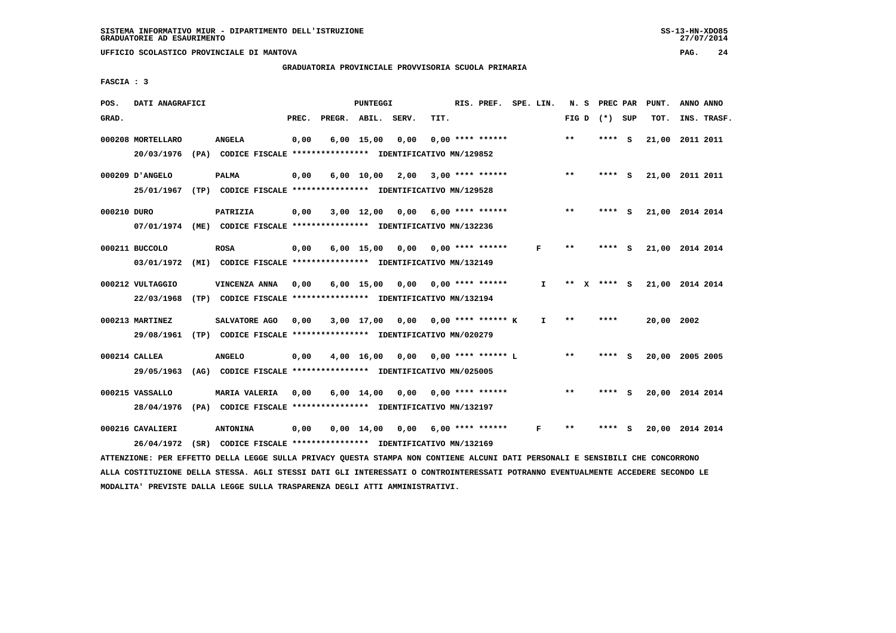# **GRADUATORIA PROVINCIALE PROVVISORIA SCUOLA PRIMARIA**

 **FASCIA : 3**

| POS.        | DATI ANAGRAFICI   |                                                                                                                               |       |                    | PUNTEGGI          |                                    |      | RIS. PREF. SPE. LIN. |              | N. S            | PREC PAR | PUNT.      | ANNO ANNO       |  |
|-------------|-------------------|-------------------------------------------------------------------------------------------------------------------------------|-------|--------------------|-------------------|------------------------------------|------|----------------------|--------------|-----------------|----------|------------|-----------------|--|
| GRAD.       |                   |                                                                                                                               | PREC. | PREGR. ABIL. SERV. |                   |                                    | TIT. |                      |              | FIG D $(*)$ SUP |          | TOT.       | INS. TRASF.     |  |
|             | 000208 MORTELLARO | <b>ANGELA</b>                                                                                                                 | 0,00  |                    | $6,00$ 15,00 0,00 |                                    |      | $0.00$ **** ******   |              | $***$           | $***$ S  |            | 21,00 2011 2011 |  |
|             |                   | 20/03/1976 (PA) CODICE FISCALE *************** IDENTIFICATIVO MN/129852                                                       |       |                    |                   |                                    |      |                      |              |                 |          |            |                 |  |
|             | 000209 D'ANGELO   | <b>PALMA</b>                                                                                                                  | 0,00  |                    |                   | $6,00 \quad 10,00 \quad 2,00$      |      | 3,00 **** ******     |              | **              | **** S   |            | 21,00 2011 2011 |  |
|             |                   | 25/01/1967 (TP) CODICE FISCALE *************** IDENTIFICATIVO MN/129528                                                       |       |                    |                   |                                    |      |                      |              |                 |          |            |                 |  |
| 000210 DURO |                   | PATRIZIA                                                                                                                      | 0,00  |                    |                   | $3,00$ 12,00 0,00 6,00 **** ****** |      |                      |              | $***$           | $***$ S  |            | 21,00 2014 2014 |  |
|             |                   | 07/01/1974 (ME) CODICE FISCALE *************** IDENTIFICATIVO MN/132236                                                       |       |                    |                   |                                    |      |                      |              |                 |          |            |                 |  |
|             | 000211 BUCCOLO    | <b>ROSA</b>                                                                                                                   | 0,00  |                    |                   | $6,00$ 15,00 0,00                  |      | $0.00$ **** ******   | F            | $* *$           | $***$ S  |            | 21,00 2014 2014 |  |
|             |                   | 03/01/1972 (MI) CODICE FISCALE *************** IDENTIFICATIVO MN/132149                                                       |       |                    |                   |                                    |      |                      |              |                 |          |            |                 |  |
|             | 000212 VULTAGGIO  | VINCENZA ANNA                                                                                                                 | 0,00  |                    |                   | $6,00$ 15,00 0,00 0,00 **** ****** |      |                      | $\mathbf{I}$ | ** x **** s     |          |            | 21,00 2014 2014 |  |
|             | 22/03/1968        | (TP) CODICE FISCALE **************** IDENTIFICATIVO MN/132194                                                                 |       |                    |                   |                                    |      |                      |              |                 |          |            |                 |  |
|             | 000213 MARTINEZ   | SALVATORE AGO                                                                                                                 | 0,00  |                    |                   | 3,00 17,00 0,00 0,00 **** ****** K |      |                      | $\mathbf{I}$ | $* *$           | ****     | 20,00 2002 |                 |  |
|             |                   | 29/08/1961 (TP) CODICE FISCALE *************** IDENTIFICATIVO MN/020279                                                       |       |                    |                   |                                    |      |                      |              |                 |          |            |                 |  |
|             | 000214 CALLEA     | <b>ANGELO</b>                                                                                                                 | 0,00  |                    |                   | 4,00 16,00 0,00                    |      | $0.00$ **** ****** L |              | $\star\star$    | $***$ S  |            | 20,00 2005 2005 |  |
|             | 29/05/1963        | (AG) CODICE FISCALE **************** IDENTIFICATIVO MN/025005                                                                 |       |                    |                   |                                    |      |                      |              |                 |          |            |                 |  |
|             | 000215 VASSALLO   | MARIA VALERIA                                                                                                                 | 0,00  |                    |                   | $6,00$ 14,00 0,00 0,00 **** ****** |      |                      |              | $***$           | **** S   |            | 20,00 2014 2014 |  |
|             |                   | 28/04/1976 (PA) CODICE FISCALE *************** IDENTIFICATIVO MN/132197                                                       |       |                    |                   |                                    |      |                      |              |                 |          |            |                 |  |
|             | 000216 CAVALIERI  | <b>ANTONINA</b>                                                                                                               | 0,00  |                    |                   | $0,00$ 14,00 0,00 6,00 **** ****** |      |                      | F            | $* *$           | **** S   |            | 20,00 2014 2014 |  |
|             | 26/04/1972        | (SR) CODICE FISCALE **************** IDENTIFICATIVO MN/132169                                                                 |       |                    |                   |                                    |      |                      |              |                 |          |            |                 |  |
|             |                   | ATTENZIONE: PER EFFETTO DELLA LEGGE SULLA PRIVACY QUESTA STAMPA NON CONTIENE ALCUNI DATI PERSONALI E SENSIBILI CHE CONCORRONO |       |                    |                   |                                    |      |                      |              |                 |          |            |                 |  |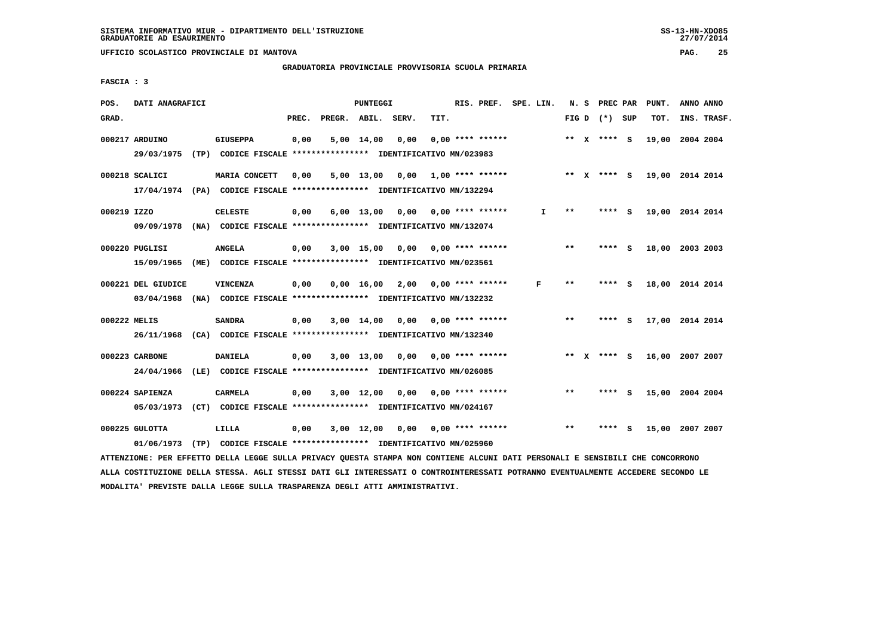# **GRADUATORIA PROVINCIALE PROVVISORIA SCUOLA PRIMARIA**

 **FASCIA : 3**

| POS.         | DATI ANAGRAFICI                                                                             |                 |       |                    | <b>PUNTEGGI</b> |                                                                       |      | RIS. PREF. SPE. LIN. |    |              | N. S PREC PAR   |     | PUNT.           | ANNO ANNO |             |
|--------------|---------------------------------------------------------------------------------------------|-----------------|-------|--------------------|-----------------|-----------------------------------------------------------------------|------|----------------------|----|--------------|-----------------|-----|-----------------|-----------|-------------|
| GRAD.        |                                                                                             |                 | PREC. | PREGR. ABIL. SERV. |                 |                                                                       | TIT. |                      |    |              | FIG D $(*)$ SUP |     | TOT.            |           | INS. TRASF. |
|              | 000217 ARDUINO<br>29/03/1975                                                                | <b>GIUSEPPA</b> | 0,00  |                    | 5,00 14,00      | 0,00<br>(TP) CODICE FISCALE **************** IDENTIFICATIVO MN/023983 |      | $0.00$ **** ******   |    |              | ** $X$ **** S   |     | 19,00           | 2004 2004 |             |
|              | 000218 SCALICI<br>17/04/1974 (PA) CODICE FISCALE *************** IDENTIFICATIVO MN/132294   | MARIA CONCETT   | 0,00  |                    | $5,00$ 13,00    | 0,00                                                                  |      | $1,00$ **** ******   |    |              | ** $X$ **** $S$ |     | 19,00 2014 2014 |           |             |
| 000219 IZZO  | 09/09/1978 (NA) CODICE FISCALE *************** IDENTIFICATIVO MN/132074                     | <b>CELESTE</b>  | 0,00  |                    | $6,00$ 13,00    | 0,00                                                                  |      | $0.00$ **** ******   | I. | $* *$        | ****            | - 5 | 19,00 2014 2014 |           |             |
|              | 000220 PUGLISI<br>15/09/1965                                                                | <b>ANGELA</b>   | 0,00  |                    | $3,00$ 15,00    | 0,00<br>(ME) CODICE FISCALE **************** IDENTIFICATIVO MN/023561 |      | $0.00$ **** ******   |    | $***$        | **** $S$        |     | 18,00 2003 2003 |           |             |
|              | 000221 DEL GIUDICE<br>03/04/1968                                                            | VINCENZA        | 0,00  |                    | 0.00 16.00      | 2,00<br>(NA) CODICE FISCALE *************** IDENTIFICATIVO MN/132232  |      | $0.00$ **** ******   | F  | $* *$        | ****            | - S | 18,00 2014 2014 |           |             |
| 000222 MELIS | 26/11/1968                                                                                  | <b>SANDRA</b>   | 0,00  |                    | 3,00 14,00      | 0,00<br>(CA) CODICE FISCALE *************** IDENTIFICATIVO MN/132340  |      | $0.00$ **** ******   |    | $\star\star$ | **** S          |     | 17,00 2014 2014 |           |             |
|              | 000223 CARBONE<br>24/04/1966                                                                | <b>DANIELA</b>  | 0,00  |                    | $3,00$ 13,00    | 0,00<br>(LE) CODICE FISCALE *************** IDENTIFICATIVO MN/026085  |      | $0.00$ **** ******   |    | ** X         | **** S          |     | 16,00 2007 2007 |           |             |
|              | 000224 SAPIENZA<br>05/03/1973 (CT) CODICE FISCALE **************** IDENTIFICATIVO MN/024167 | <b>CARMELA</b>  | 0,00  |                    | 3,00 12,00      | 0.00                                                                  |      | $0.00$ **** ******   |    | $* *$        | ****            | - S | 15,00 2004 2004 |           |             |
|              | 000225 GULOTTA<br>01/06/1973 (TP) CODICE FISCALE *************** IDENTIFICATIVO MN/025960   | LILLA           | 0,00  |                    | 3,00 12,00      | 0,00                                                                  |      | $0.00$ **** ******   |    | $* *$        |                 | s   | 15,00           | 2007 2007 |             |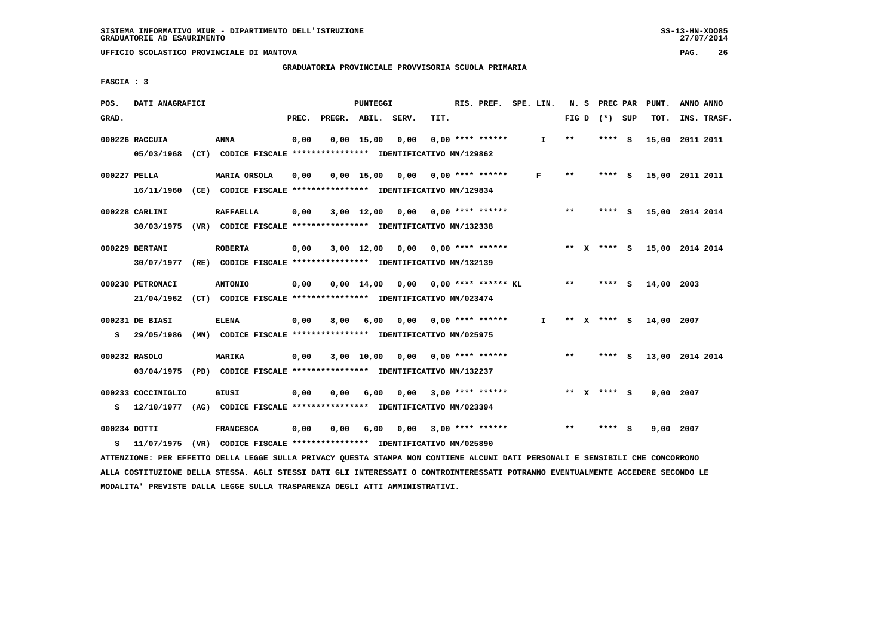**GRADUATORIA PROVINCIALE PROVVISORIA SCUOLA PRIMARIA**

 **FASCIA : 3**

| POS.  | DATI ANAGRAFICI                                                                                                               |                  |       |                    | PUNTEGGI |                                       |      | RIS. PREF. SPE. LIN. |              |       | N. S PREC PAR   | PUNT.           | ANNO ANNO   |
|-------|-------------------------------------------------------------------------------------------------------------------------------|------------------|-------|--------------------|----------|---------------------------------------|------|----------------------|--------------|-------|-----------------|-----------------|-------------|
| GRAD. |                                                                                                                               |                  | PREC. | PREGR. ABIL. SERV. |          |                                       | TIT. |                      |              |       | FIG D $(*)$ SUP | TOT.            | INS. TRASF. |
|       | 000226 RACCUIA                                                                                                                | <b>ANNA</b>      | 0,00  |                    |          | $0,00$ 15,00 0,00                     |      | $0.00$ **** ******   | $\mathbf{I}$ | **    | **** S          | 15,00 2011 2011 |             |
|       | 05/03/1968 (CT) CODICE FISCALE *************** IDENTIFICATIVO MN/129862                                                       |                  |       |                    |          |                                       |      |                      |              |       |                 |                 |             |
|       | 000227 PELLA                                                                                                                  | MARIA ORSOLA     | 0,00  |                    |          | $0,00$ 15,00 0,00 0,00 **** ******    |      |                      | F            | $***$ | **** S          | 15,00 2011 2011 |             |
|       | 16/11/1960 (CE) CODICE FISCALE *************** IDENTIFICATIVO MN/129834                                                       |                  |       |                    |          |                                       |      |                      |              |       |                 |                 |             |
|       | 000228 CARLINI                                                                                                                | <b>RAFFAELLA</b> | 0,00  |                    |          | 3,00 12,00 0,00 0,00 **** ******      |      |                      |              | $* *$ | $***$ $S$       | 15,00 2014 2014 |             |
|       | 30/03/1975 (VR) CODICE FISCALE *************** IDENTIFICATIVO MN/132338                                                       |                  |       |                    |          |                                       |      |                      |              |       |                 |                 |             |
|       | 000229 BERTANI                                                                                                                | <b>ROBERTA</b>   | 0,00  |                    |          | 3,00 12,00 0,00                       |      | $0,00$ **** ******   |              |       | ** x **** S     | 15,00 2014 2014 |             |
|       | 30/07/1977 (RE) CODICE FISCALE *************** IDENTIFICATIVO MN/132139                                                       |                  |       |                    |          |                                       |      |                      |              |       |                 |                 |             |
|       | 000230 PETRONACI                                                                                                              | <b>ANTONIO</b>   | 0,00  |                    |          | $0,00$ 14,00 0,00 0,00 **** ****** KL |      |                      |              | $***$ | **** S          | 14,00 2003      |             |
|       | 21/04/1962 (CT) CODICE FISCALE *************** IDENTIFICATIVO MN/023474                                                       |                  |       |                    |          |                                       |      |                      |              |       |                 |                 |             |
|       | 000231 DE BIASI                                                                                                               | <b>ELENA</b>     | 0,00  | 8,00               |          | 6,00 0,00 0,00 **** ******            |      |                      | $\mathbf{I}$ |       | ** x **** s     | 14,00 2007      |             |
|       | S 29/05/1986 (MN) CODICE FISCALE **************** IDENTIFICATIVO MN/025975                                                    |                  |       |                    |          |                                       |      |                      |              |       |                 |                 |             |
|       | 000232 RASOLO                                                                                                                 | <b>MARIKA</b>    | 0,00  |                    |          | $3,00$ 10,00 0,00 0,00 **** ******    |      |                      |              | $***$ | $***$ S         | 13,00 2014 2014 |             |
|       | 03/04/1975 (PD) CODICE FISCALE *************** IDENTIFICATIVO MN/132237                                                       |                  |       |                    |          |                                       |      |                      |              |       |                 |                 |             |
|       | 000233 COCCINIGLIO                                                                                                            | GIUSI            | 0,00  | 0,00               |          | 6,00 0,00 3,00 **** ******            |      |                      |              |       | ** X **** S     | 9,00 2007       |             |
| s     | 12/10/1977 (AG) CODICE FISCALE **************** IDENTIFICATIVO MN/023394                                                      |                  |       |                    |          |                                       |      |                      |              |       |                 |                 |             |
|       | 000234 DOTTI                                                                                                                  | <b>FRANCESCA</b> | 0,00  | 0,00               |          | $6,00$ $0,00$ $3,00$ **** ******      |      |                      |              | $* *$ | $***$ S         | 9,00 2007       |             |
| s     | 11/07/1975 (VR) CODICE FISCALE *************** IDENTIFICATIVO MN/025890                                                       |                  |       |                    |          |                                       |      |                      |              |       |                 |                 |             |
|       | ATTENZIONE: PER EFFETTO DELLA LEGGE SULLA PRIVACY QUESTA STAMPA NON CONTIENE ALCUNI DATI PERSONALI E SENSIBILI CHE CONCORRONO |                  |       |                    |          |                                       |      |                      |              |       |                 |                 |             |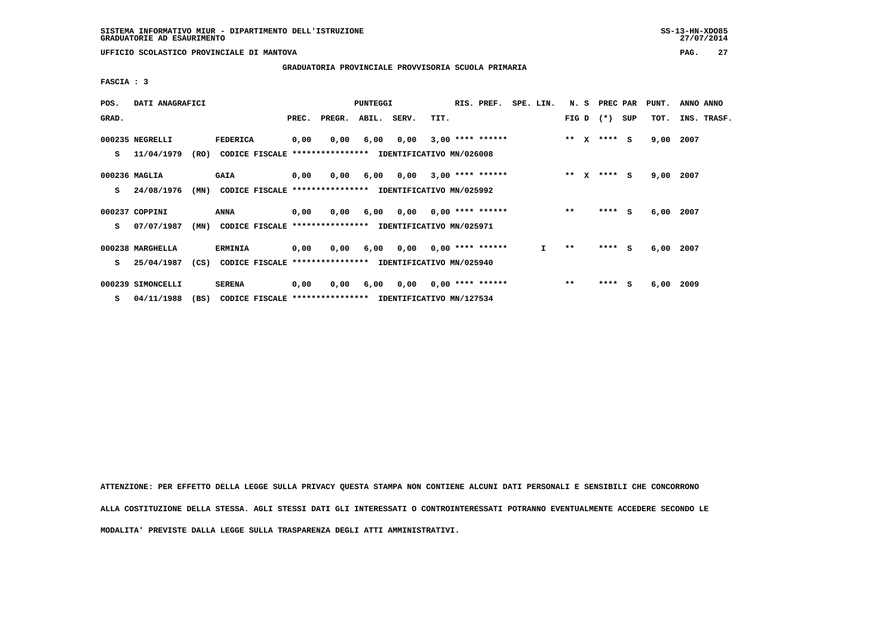$27/07/2014$ 

 **UFFICIO SCOLASTICO PROVINCIALE DI MANTOVA PAG. 27**

 **GRADUATORIA PROVINCIALE PROVVISORIA SCUOLA PRIMARIA**

 **FASCIA : 3**

| POS.  | DATI ANAGRAFICI   |      |                                                          | <b>PUNTEGGI</b> |                  |             |                          |      | RIS. PREF.                | SPE. LIN. |         | N. S         | PREC PAR    |     | PUNT. | ANNO ANNO |             |
|-------|-------------------|------|----------------------------------------------------------|-----------------|------------------|-------------|--------------------------|------|---------------------------|-----------|---------|--------------|-------------|-----|-------|-----------|-------------|
| GRAD. |                   |      |                                                          | PREC.           | PREGR.           | ABIL. SERV. |                          | TIT. |                           |           |         |              | FIG D $(*)$ | SUP | тот.  |           | INS. TRASF. |
|       | 000235 NEGRELLI   |      | <b>FEDERICA</b>                                          | 0,00            | 0,00             | 6,00        | 0,00                     |      | $3,00$ **** ******        |           | $***$ X |              | **** S      |     | 9,00  | 2007      |             |
| s     | 11/04/1979        | (RO) | CODICE FISCALE                                           |                 | **************** |             | IDENTIFICATIVO MN/026008 |      |                           |           |         |              |             |     |       |           |             |
|       | 000236 MAGLIA     |      | <b>GAIA</b>                                              | 0,00            | 0,00             | 6,00        | 0,00                     |      | $3,00$ **** ******        |           | $***$   | $\mathbf{x}$ | **** S      |     | 9,00  | 2007      |             |
| s     | 24/08/1976        | (MN) | CODICE FISCALE **************** IDENTIFICATIVO MN/025992 |                 |                  |             |                          |      |                           |           |         |              |             |     |       |           |             |
|       | 000237 COPPINI    |      | ANNA                                                     | 0,00            | 0,00             | 6,00        |                          |      | $0,00$ $0,00$ **** ****** |           | $**$    |              | $***$ S     |     | 6,00  | 2007      |             |
| s     | 07/07/1987        | (MN) | CODICE FISCALE **************** IDENTIFICATIVO MN/025971 |                 |                  |             |                          |      |                           |           |         |              |             |     |       |           |             |
|       |                   |      |                                                          |                 |                  |             |                          |      |                           |           |         |              |             |     |       |           |             |
|       | 000238 MARGHELLA  |      | <b>ERMINIA</b>                                           | 0,00            | 0,00             | 6,00        |                          |      | $0,00$ $0,00$ **** ****** | I.        | $* *$   |              | **** S      |     | 6,00  | 2007      |             |
| s     | 25/04/1987        | (CS) | CODICE FISCALE **************** IDENTIFICATIVO MN/025940 |                 |                  |             |                          |      |                           |           |         |              |             |     |       |           |             |
|       | 000239 SIMONCELLI |      | <b>SERENA</b>                                            | 0,00            | 0,00             | 6,00        |                          |      | $0,00$ $0,00$ **** ****** |           | $***$   |              | $***$ S     |     | 6,00  | 2009      |             |
| s     | 04/11/1988        | (BS) | CODICE FISCALE **************** IDENTIFICATIVO MN/127534 |                 |                  |             |                          |      |                           |           |         |              |             |     |       |           |             |